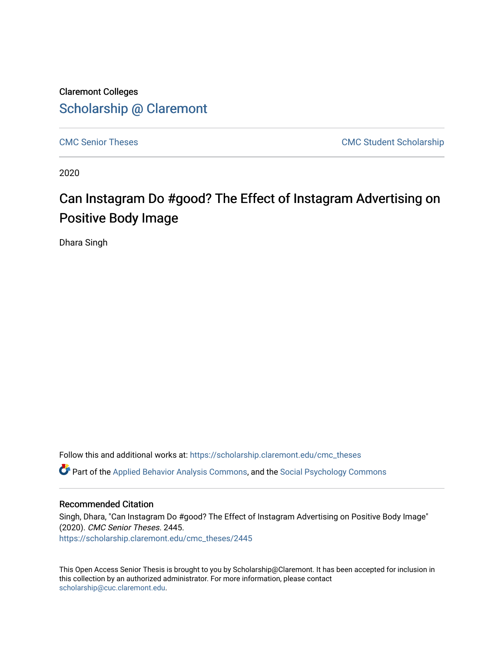## Claremont Colleges [Scholarship @ Claremont](https://scholarship.claremont.edu/)

[CMC Senior Theses](https://scholarship.claremont.edu/cmc_theses) CMC Student Scholarship

2020

# Can Instagram Do #good? The Effect of Instagram Advertising on Positive Body Image

Dhara Singh

Follow this and additional works at: [https://scholarship.claremont.edu/cmc\\_theses](https://scholarship.claremont.edu/cmc_theses?utm_source=scholarship.claremont.edu%2Fcmc_theses%2F2445&utm_medium=PDF&utm_campaign=PDFCoverPages)  Part of the [Applied Behavior Analysis Commons](http://network.bepress.com/hgg/discipline/1235?utm_source=scholarship.claremont.edu%2Fcmc_theses%2F2445&utm_medium=PDF&utm_campaign=PDFCoverPages), and the [Social Psychology Commons](http://network.bepress.com/hgg/discipline/414?utm_source=scholarship.claremont.edu%2Fcmc_theses%2F2445&utm_medium=PDF&utm_campaign=PDFCoverPages) 

### Recommended Citation

Singh, Dhara, "Can Instagram Do #good? The Effect of Instagram Advertising on Positive Body Image" (2020). CMC Senior Theses. 2445. [https://scholarship.claremont.edu/cmc\\_theses/2445](https://scholarship.claremont.edu/cmc_theses/2445?utm_source=scholarship.claremont.edu%2Fcmc_theses%2F2445&utm_medium=PDF&utm_campaign=PDFCoverPages) 

This Open Access Senior Thesis is brought to you by Scholarship@Claremont. It has been accepted for inclusion in this collection by an authorized administrator. For more information, please contact [scholarship@cuc.claremont.edu.](mailto:scholarship@cuc.claremont.edu)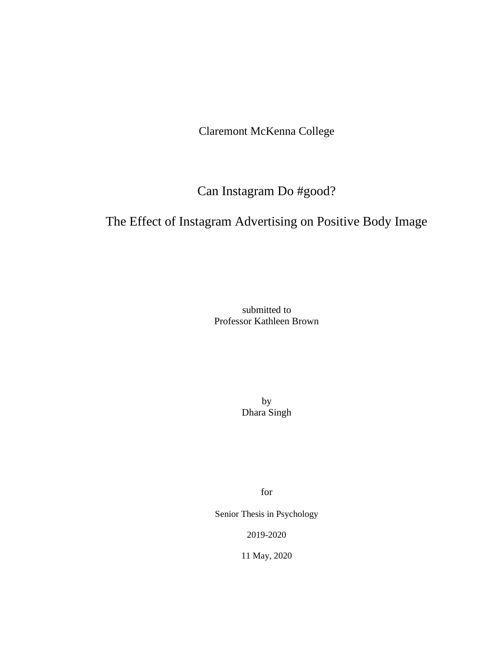Claremont McKenna College

Can Instagram Do #good?

## The Effect of Instagram Advertising on Positive Body Image

submitted to Professor Kathleen Brown

> by Dhara Singh

> > for

Senior Thesis in Psychology

2019-2020

11 May, 2020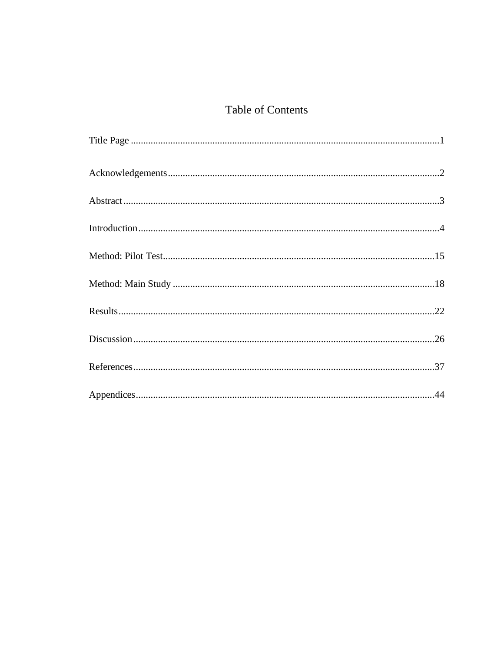## Table of Contents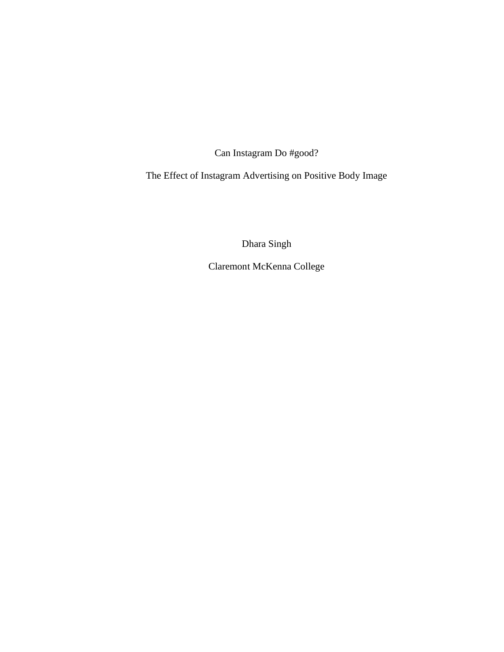Can Instagram Do #good?

The Effect of Instagram Advertising on Positive Body Image

Dhara Singh

Claremont McKenna College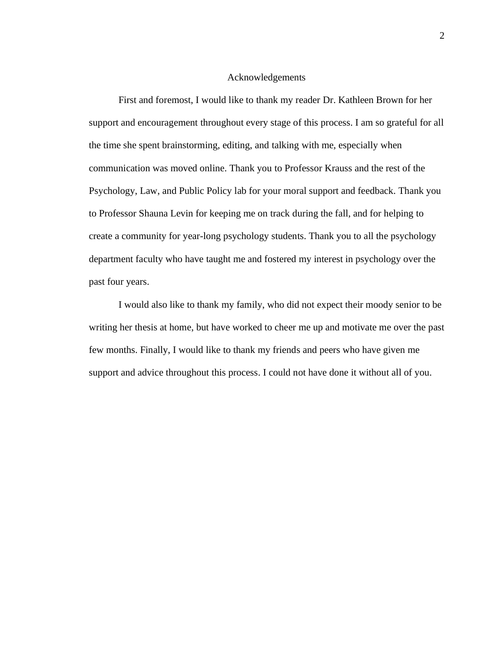#### Acknowledgements

First and foremost, I would like to thank my reader Dr. Kathleen Brown for her support and encouragement throughout every stage of this process. I am so grateful for all the time she spent brainstorming, editing, and talking with me, especially when communication was moved online. Thank you to Professor Krauss and the rest of the Psychology, Law, and Public Policy lab for your moral support and feedback. Thank you to Professor Shauna Levin for keeping me on track during the fall, and for helping to create a community for year-long psychology students. Thank you to all the psychology department faculty who have taught me and fostered my interest in psychology over the past four years.

I would also like to thank my family, who did not expect their moody senior to be writing her thesis at home, but have worked to cheer me up and motivate me over the past few months. Finally, I would like to thank my friends and peers who have given me support and advice throughout this process. I could not have done it without all of you.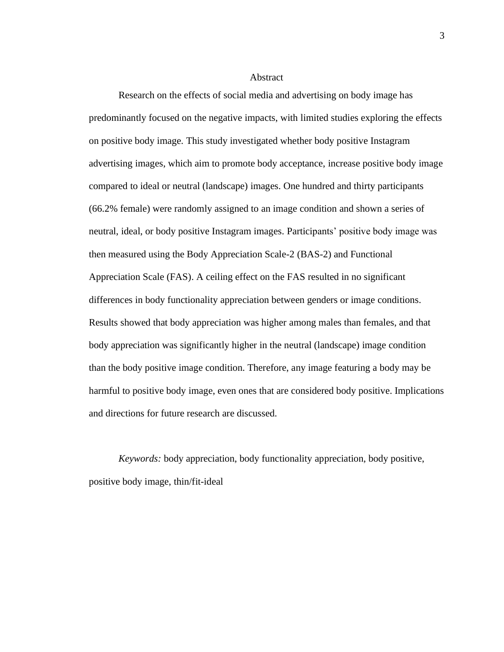Abstract

Research on the effects of social media and advertising on body image has predominantly focused on the negative impacts, with limited studies exploring the effects on positive body image. This study investigated whether body positive Instagram advertising images, which aim to promote body acceptance, increase positive body image compared to ideal or neutral (landscape) images. One hundred and thirty participants (66.2% female) were randomly assigned to an image condition and shown a series of neutral, ideal, or body positive Instagram images. Participants' positive body image was then measured using the Body Appreciation Scale-2 (BAS-2) and Functional Appreciation Scale (FAS). A ceiling effect on the FAS resulted in no significant differences in body functionality appreciation between genders or image conditions. Results showed that body appreciation was higher among males than females, and that body appreciation was significantly higher in the neutral (landscape) image condition than the body positive image condition. Therefore, any image featuring a body may be harmful to positive body image, even ones that are considered body positive. Implications and directions for future research are discussed.

*Keywords:* body appreciation, body functionality appreciation, body positive, positive body image, thin/fit-ideal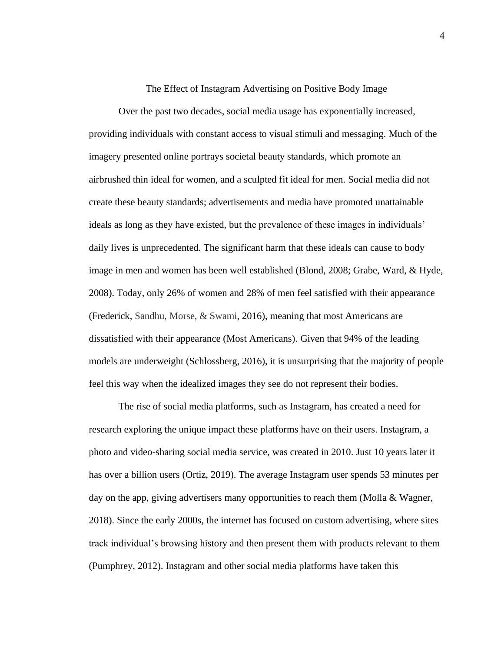#### The Effect of Instagram Advertising on Positive Body Image

Over the past two decades, social media usage has exponentially increased, providing individuals with constant access to visual stimuli and messaging. Much of the imagery presented online portrays societal beauty standards, which promote an airbrushed thin ideal for women, and a sculpted fit ideal for men. Social media did not create these beauty standards; advertisements and media have promoted unattainable ideals as long as they have existed, but the prevalence of these images in individuals' daily lives is unprecedented. The significant harm that these ideals can cause to body image in men and women has been well established (Blond, 2008; Grabe, Ward, & Hyde, 2008). Today, only 26% of women and 28% of men feel satisfied with their appearance (Frederick, Sandhu, Morse, & Swami, 2016), meaning that most Americans are dissatisfied with their appearance (Most Americans). Given that 94% of the leading models are underweight (Schlossberg, 2016), it is unsurprising that the majority of people feel this way when the idealized images they see do not represent their bodies.

The rise of social media platforms, such as Instagram, has created a need for research exploring the unique impact these platforms have on their users. Instagram, a photo and video-sharing social media service, was created in 2010. Just 10 years later it has over a billion users (Ortiz, 2019). The average Instagram user spends 53 minutes per day on the app, giving advertisers many opportunities to reach them (Molla & Wagner, 2018). Since the early 2000s, the internet has focused on custom advertising, where sites track individual's browsing history and then present them with products relevant to them (Pumphrey, 2012). Instagram and other social media platforms have taken this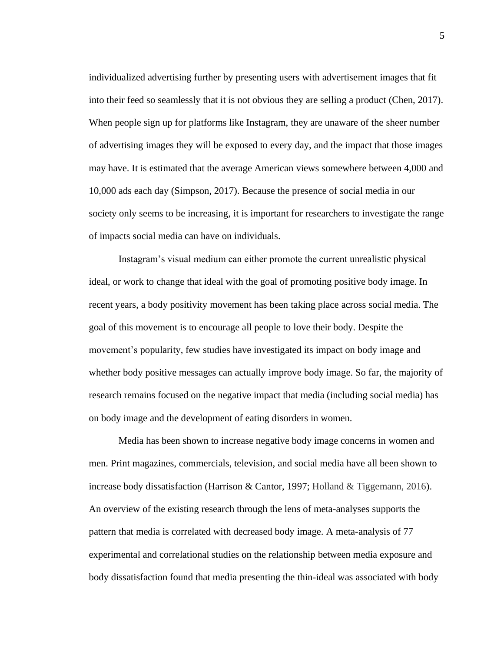individualized advertising further by presenting users with advertisement images that fit into their feed so seamlessly that it is not obvious they are selling a product (Chen, 2017). When people sign up for platforms like Instagram, they are unaware of the sheer number of advertising images they will be exposed to every day, and the impact that those images may have. It is estimated that the average American views somewhere between 4,000 and 10,000 ads each day (Simpson, 2017). Because the presence of social media in our society only seems to be increasing, it is important for researchers to investigate the range of impacts social media can have on individuals.

Instagram's visual medium can either promote the current unrealistic physical ideal, or work to change that ideal with the goal of promoting positive body image. In recent years, a body positivity movement has been taking place across social media. The goal of this movement is to encourage all people to love their body. Despite the movement's popularity, few studies have investigated its impact on body image and whether body positive messages can actually improve body image. So far, the majority of research remains focused on the negative impact that media (including social media) has on body image and the development of eating disorders in women.

Media has been shown to increase negative body image concerns in women and men. Print magazines, commercials, television, and social media have all been shown to increase body dissatisfaction (Harrison & Cantor, 1997; Holland & Tiggemann, 2016). An overview of the existing research through the lens of meta-analyses supports the pattern that media is correlated with decreased body image. A meta-analysis of 77 experimental and correlational studies on the relationship between media exposure and body dissatisfaction found that media presenting the thin-ideal was associated with body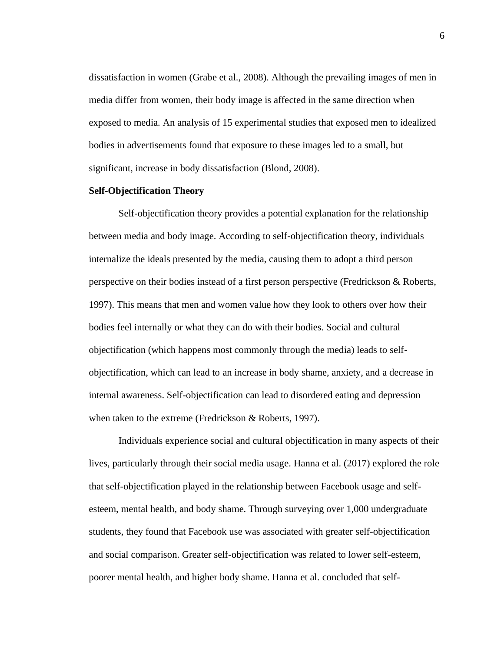dissatisfaction in women (Grabe et al., 2008). Although the prevailing images of men in media differ from women, their body image is affected in the same direction when exposed to media. An analysis of 15 experimental studies that exposed men to idealized bodies in advertisements found that exposure to these images led to a small, but significant, increase in body dissatisfaction (Blond, 2008).

#### **Self-Objectification Theory**

Self-objectification theory provides a potential explanation for the relationship between media and body image. According to self-objectification theory, individuals internalize the ideals presented by the media, causing them to adopt a third person perspective on their bodies instead of a first person perspective (Fredrickson & Roberts, 1997). This means that men and women value how they look to others over how their bodies feel internally or what they can do with their bodies. Social and cultural objectification (which happens most commonly through the media) leads to selfobjectification, which can lead to an increase in body shame, anxiety, and a decrease in internal awareness. Self-objectification can lead to disordered eating and depression when taken to the extreme (Fredrickson & Roberts, 1997).

Individuals experience social and cultural objectification in many aspects of their lives, particularly through their social media usage. Hanna et al. (2017) explored the role that self-objectification played in the relationship between Facebook usage and selfesteem, mental health, and body shame. Through surveying over 1,000 undergraduate students, they found that Facebook use was associated with greater self-objectification and social comparison. Greater self-objectification was related to lower self-esteem, poorer mental health, and higher body shame. Hanna et al. concluded that self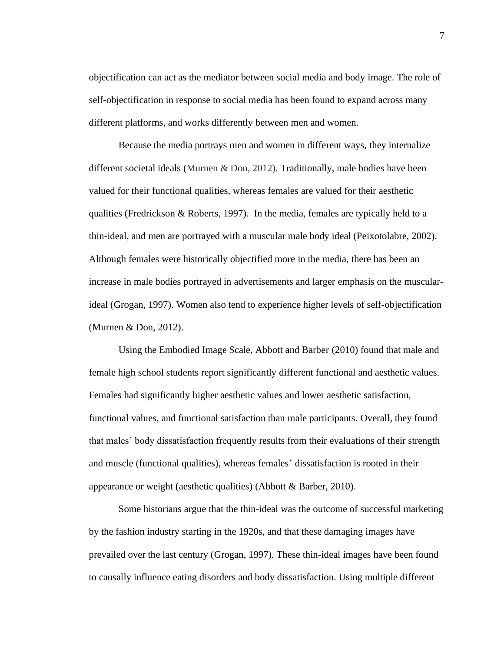objectification can act as the mediator between social media and body image. The role of self-objectification in response to social media has been found to expand across many different platforms, and works differently between men and women.

Because the media portrays men and women in different ways, they internalize different societal ideals (Murnen & Don, 2012). Traditionally, male bodies have been valued for their functional qualities, whereas females are valued for their aesthetic qualities (Fredrickson & Roberts, 1997). In the media, females are typically held to a thin-ideal, and men are portrayed with a muscular male body ideal (Peixotolabre, 2002). Although females were historically objectified more in the media, there has been an increase in male bodies portrayed in advertisements and larger emphasis on the muscularideal (Grogan, 1997). Women also tend to experience higher levels of self-objectification (Murnen & Don, 2012).

Using the Embodied Image Scale, Abbott and Barber (2010) found that male and female high school students report significantly different functional and aesthetic values. Females had significantly higher aesthetic values and lower aesthetic satisfaction, functional values, and functional satisfaction than male participants. Overall, they found that males' body dissatisfaction frequently results from their evaluations of their strength and muscle (functional qualities), whereas females' dissatisfaction is rooted in their appearance or weight (aesthetic qualities) (Abbott & Barber, 2010).

Some historians argue that the thin-ideal was the outcome of successful marketing by the fashion industry starting in the 1920s, and that these damaging images have prevailed over the last century (Grogan, 1997). These thin-ideal images have been found to causally influence eating disorders and body dissatisfaction. Using multiple different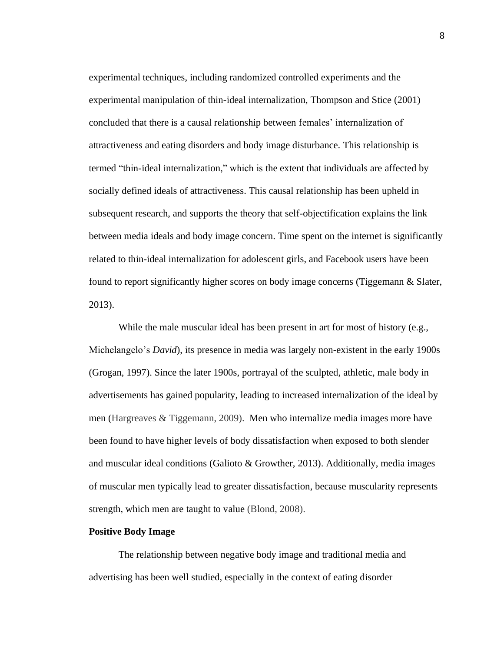experimental techniques, including randomized controlled experiments and the experimental manipulation of thin-ideal internalization, Thompson and Stice (2001) concluded that there is a causal relationship between females' internalization of attractiveness and eating disorders and body image disturbance. This relationship is termed "thin-ideal internalization," which is the extent that individuals are affected by socially defined ideals of attractiveness. This causal relationship has been upheld in subsequent research, and supports the theory that self-objectification explains the link between media ideals and body image concern. Time spent on the internet is significantly related to thin-ideal internalization for adolescent girls, and Facebook users have been found to report significantly higher scores on body image concerns (Tiggemann & Slater, 2013).

While the male muscular ideal has been present in art for most of history (e.g., Michelangelo's *David*), its presence in media was largely non-existent in the early 1900s (Grogan, 1997). Since the later 1900s, portrayal of the sculpted, athletic, male body in advertisements has gained popularity, leading to increased internalization of the ideal by men (Hargreaves & Tiggemann, 2009). Men who internalize media images more have been found to have higher levels of body dissatisfaction when exposed to both slender and muscular ideal conditions (Galioto & Growther, 2013). Additionally, media images of muscular men typically lead to greater dissatisfaction, because muscularity represents strength, which men are taught to value (Blond, 2008).

#### **Positive Body Image**

The relationship between negative body image and traditional media and advertising has been well studied, especially in the context of eating disorder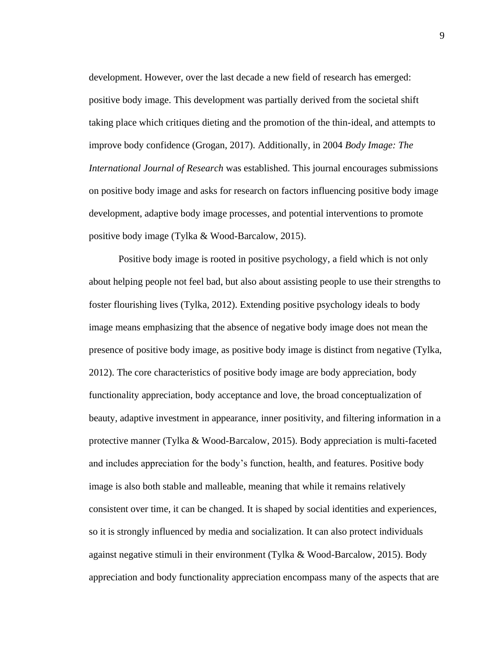development. However, over the last decade a new field of research has emerged: positive body image. This development was partially derived from the societal shift taking place which critiques dieting and the promotion of the thin-ideal, and attempts to improve body confidence (Grogan, 2017). Additionally, in 2004 *Body Image: The International Journal of Research* was established. This journal encourages submissions on positive body image and asks for research on factors influencing positive body image development, adaptive body image processes, and potential interventions to promote positive body image (Tylka & Wood-Barcalow, 2015).

Positive body image is rooted in positive psychology, a field which is not only about helping people not feel bad, but also about assisting people to use their strengths to foster flourishing lives (Tylka, 2012). Extending positive psychology ideals to body image means emphasizing that the absence of negative body image does not mean the presence of positive body image, as positive body image is distinct from negative (Tylka, 2012). The core characteristics of positive body image are body appreciation, body functionality appreciation, body acceptance and love, the broad conceptualization of beauty, adaptive investment in appearance, inner positivity, and filtering information in a protective manner (Tylka & Wood-Barcalow, 2015). Body appreciation is multi-faceted and includes appreciation for the body's function, health, and features. Positive body image is also both stable and malleable, meaning that while it remains relatively consistent over time, it can be changed. It is shaped by social identities and experiences, so it is strongly influenced by media and socialization. It can also protect individuals against negative stimuli in their environment (Tylka  $& Wood-Barcalow, 2015)$ . Body appreciation and body functionality appreciation encompass many of the aspects that are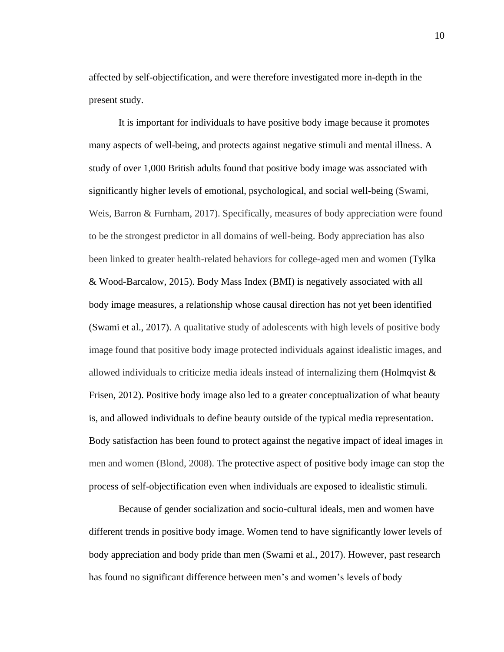affected by self-objectification, and were therefore investigated more in-depth in the present study.

It is important for individuals to have positive body image because it promotes many aspects of well-being, and protects against negative stimuli and mental illness. A study of over 1,000 British adults found that positive body image was associated with significantly higher levels of emotional, psychological, and social well-being (Swami, Weis, Barron & Furnham, 2017). Specifically, measures of body appreciation were found to be the strongest predictor in all domains of well-being. Body appreciation has also been linked to greater health-related behaviors for college-aged men and women (Tylka & Wood-Barcalow, 2015). Body Mass Index (BMI) is negatively associated with all body image measures, a relationship whose causal direction has not yet been identified (Swami et al., 2017). A qualitative study of adolescents with high levels of positive body image found that positive body image protected individuals against idealistic images, and allowed individuals to criticize media ideals instead of internalizing them (Holmqvist  $\&$ Frisen, 2012). Positive body image also led to a greater conceptualization of what beauty is, and allowed individuals to define beauty outside of the typical media representation. Body satisfaction has been found to protect against the negative impact of ideal images in men and women (Blond, 2008). The protective aspect of positive body image can stop the process of self-objectification even when individuals are exposed to idealistic stimuli.

Because of gender socialization and socio-cultural ideals, men and women have different trends in positive body image. Women tend to have significantly lower levels of body appreciation and body pride than men (Swami et al., 2017). However, past research has found no significant difference between men's and women's levels of body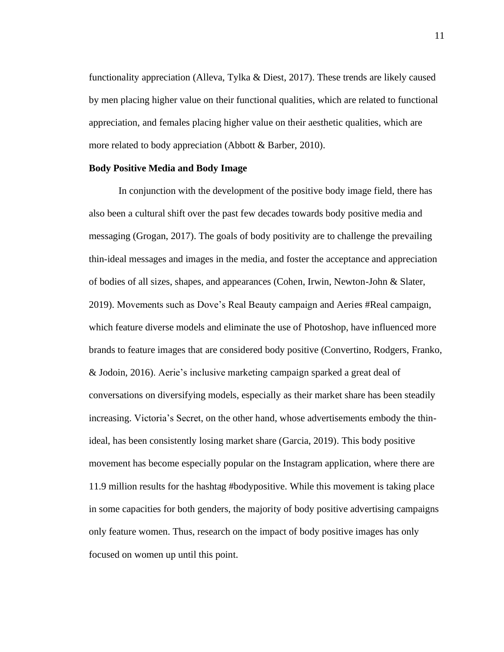functionality appreciation (Alleva, Tylka & Diest, 2017). These trends are likely caused by men placing higher value on their functional qualities, which are related to functional appreciation, and females placing higher value on their aesthetic qualities, which are more related to body appreciation (Abbott & Barber, 2010).

### **Body Positive Media and Body Image**

In conjunction with the development of the positive body image field, there has also been a cultural shift over the past few decades towards body positive media and messaging (Grogan, 2017). The goals of body positivity are to challenge the prevailing thin-ideal messages and images in the media, and foster the acceptance and appreciation of bodies of all sizes, shapes, and appearances (Cohen, Irwin, Newton-John & Slater, 2019). Movements such as Dove's Real Beauty campaign and Aeries #Real campaign, which feature diverse models and eliminate the use of Photoshop, have influenced more brands to feature images that are considered body positive (Convertino, Rodgers, Franko, & Jodoin, 2016). Aerie's inclusive marketing campaign sparked a great deal of conversations on diversifying models, especially as their market share has been steadily increasing. Victoria's Secret, on the other hand, whose advertisements embody the thinideal, has been consistently losing market share (Garcia, 2019). This body positive movement has become especially popular on the Instagram application, where there are 11.9 million results for the hashtag #bodypositive. While this movement is taking place in some capacities for both genders, the majority of body positive advertising campaigns only feature women. Thus, research on the impact of body positive images has only focused on women up until this point.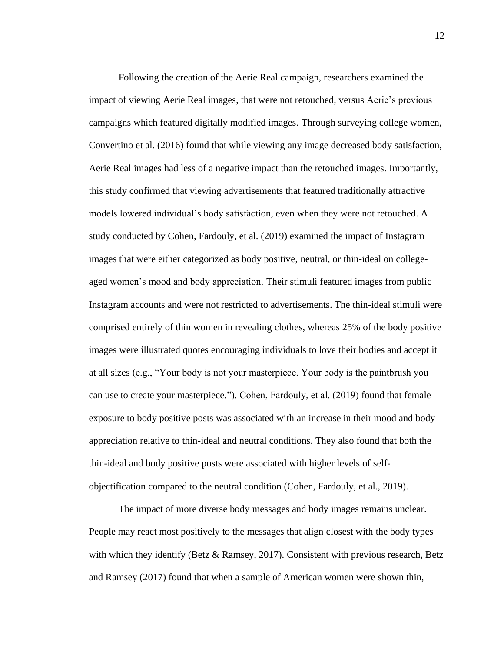Following the creation of the Aerie Real campaign, researchers examined the impact of viewing Aerie Real images, that were not retouched, versus Aerie's previous campaigns which featured digitally modified images. Through surveying college women, Convertino et al. (2016) found that while viewing any image decreased body satisfaction, Aerie Real images had less of a negative impact than the retouched images. Importantly, this study confirmed that viewing advertisements that featured traditionally attractive models lowered individual's body satisfaction, even when they were not retouched. A study conducted by Cohen, Fardouly, et al. (2019) examined the impact of Instagram images that were either categorized as body positive, neutral, or thin-ideal on collegeaged women's mood and body appreciation. Their stimuli featured images from public Instagram accounts and were not restricted to advertisements. The thin-ideal stimuli were comprised entirely of thin women in revealing clothes, whereas 25% of the body positive images were illustrated quotes encouraging individuals to love their bodies and accept it at all sizes (e.g., "Your body is not your masterpiece. Your body is the paintbrush you can use to create your masterpiece."). Cohen, Fardouly, et al. (2019) found that female exposure to body positive posts was associated with an increase in their mood and body appreciation relative to thin-ideal and neutral conditions. They also found that both the thin-ideal and body positive posts were associated with higher levels of selfobjectification compared to the neutral condition (Cohen, Fardouly, et al., 2019).

The impact of more diverse body messages and body images remains unclear. People may react most positively to the messages that align closest with the body types with which they identify (Betz & Ramsey, 2017). Consistent with previous research, Betz and Ramsey (2017) found that when a sample of American women were shown thin,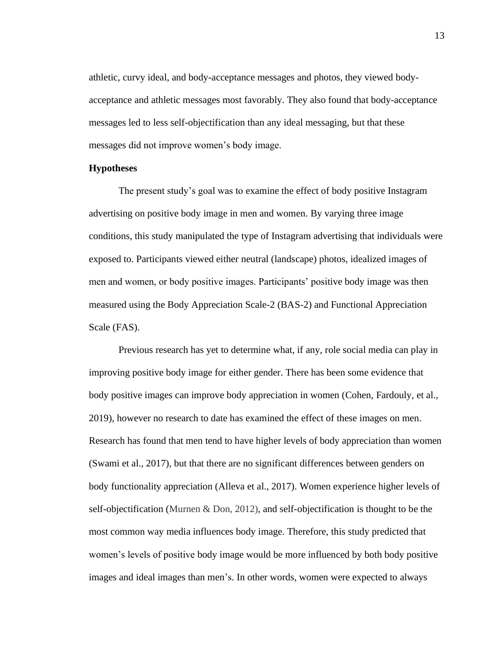athletic, curvy ideal, and body-acceptance messages and photos, they viewed bodyacceptance and athletic messages most favorably. They also found that body-acceptance messages led to less self-objectification than any ideal messaging, but that these messages did not improve women's body image.

#### **Hypotheses**

The present study's goal was to examine the effect of body positive Instagram advertising on positive body image in men and women. By varying three image conditions, this study manipulated the type of Instagram advertising that individuals were exposed to. Participants viewed either neutral (landscape) photos, idealized images of men and women, or body positive images. Participants' positive body image was then measured using the Body Appreciation Scale-2 (BAS-2) and Functional Appreciation Scale (FAS).

Previous research has yet to determine what, if any, role social media can play in improving positive body image for either gender. There has been some evidence that body positive images can improve body appreciation in women (Cohen, Fardouly, et al., 2019), however no research to date has examined the effect of these images on men. Research has found that men tend to have higher levels of body appreciation than women (Swami et al., 2017), but that there are no significant differences between genders on body functionality appreciation (Alleva et al., 2017). Women experience higher levels of self-objectification (Murnen & Don, 2012), and self-objectification is thought to be the most common way media influences body image. Therefore, this study predicted that women's levels of positive body image would be more influenced by both body positive images and ideal images than men's. In other words, women were expected to always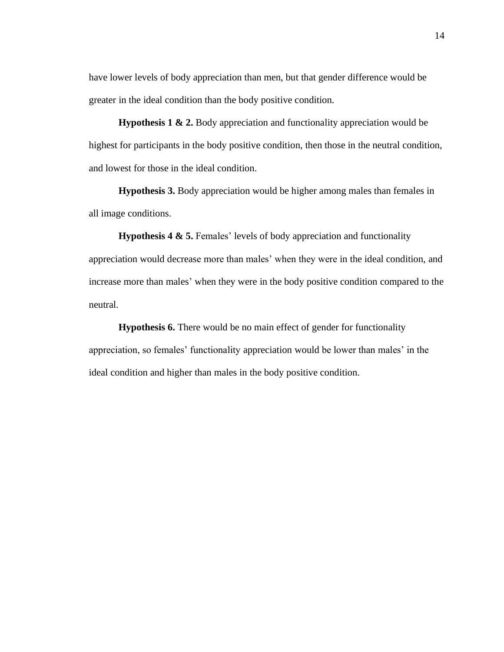have lower levels of body appreciation than men, but that gender difference would be greater in the ideal condition than the body positive condition.

**Hypothesis 1 & 2.** Body appreciation and functionality appreciation would be highest for participants in the body positive condition, then those in the neutral condition, and lowest for those in the ideal condition.

**Hypothesis 3.** Body appreciation would be higher among males than females in all image conditions.

**Hypothesis 4 & 5.** Females' levels of body appreciation and functionality appreciation would decrease more than males' when they were in the ideal condition, and increase more than males' when they were in the body positive condition compared to the neutral.

**Hypothesis 6.** There would be no main effect of gender for functionality appreciation, so females' functionality appreciation would be lower than males' in the ideal condition and higher than males in the body positive condition.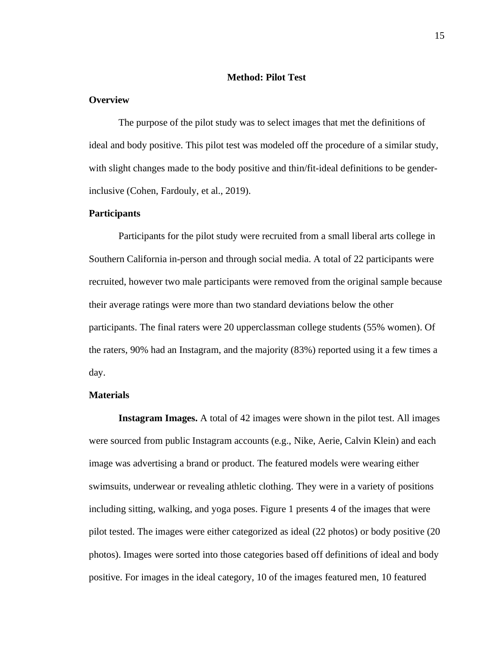## **Method: Pilot Test**

### **Overview**

The purpose of the pilot study was to select images that met the definitions of ideal and body positive. This pilot test was modeled off the procedure of a similar study, with slight changes made to the body positive and thin/fit-ideal definitions to be genderinclusive (Cohen, Fardouly, et al., 2019).

#### **Participants**

Participants for the pilot study were recruited from a small liberal arts college in Southern California in-person and through social media. A total of 22 participants were recruited, however two male participants were removed from the original sample because their average ratings were more than two standard deviations below the other participants. The final raters were 20 upperclassman college students (55% women). Of the raters, 90% had an Instagram, and the majority (83%) reported using it a few times a day.

#### **Materials**

**Instagram Images.** A total of 42 images were shown in the pilot test. All images were sourced from public Instagram accounts (e.g., Nike, Aerie, Calvin Klein) and each image was advertising a brand or product. The featured models were wearing either swimsuits, underwear or revealing athletic clothing. They were in a variety of positions including sitting, walking, and yoga poses. Figure 1 presents 4 of the images that were pilot tested. The images were either categorized as ideal (22 photos) or body positive (20 photos). Images were sorted into those categories based off definitions of ideal and body positive. For images in the ideal category, 10 of the images featured men, 10 featured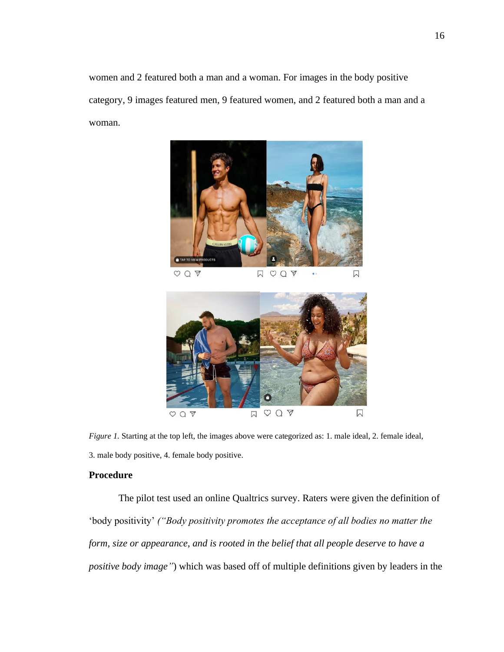women and 2 featured both a man and a woman. For images in the body positive category, 9 images featured men, 9 featured women, and 2 featured both a man and a woman.



 $DQQ$  $OQ$ 闪



*Figure 1.* Starting at the top left, the images above were categorized as: 1. male ideal, 2. female ideal, 3. male body positive, 4. female body positive.

### **Procedure**

The pilot test used an online Qualtrics survey. Raters were given the definition of 'body positivity' *("Body positivity promotes the acceptance of all bodies no matter the form, size or appearance, and is rooted in the belief that all people deserve to have a positive body image"*) which was based off of multiple definitions given by leaders in the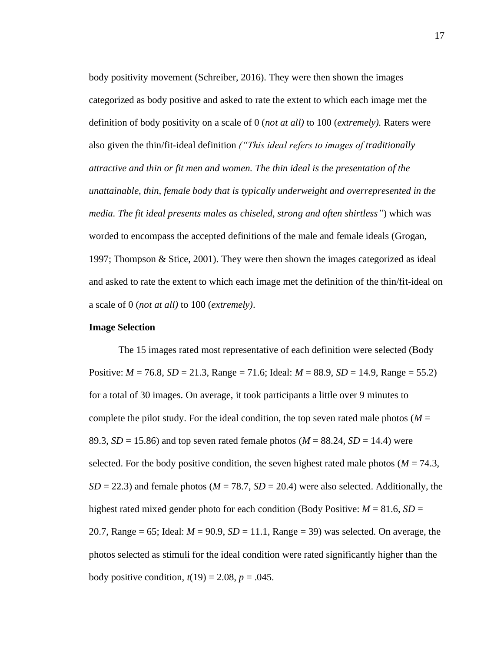body positivity movement (Schreiber, 2016). They were then shown the images categorized as body positive and asked to rate the extent to which each image met the definition of body positivity on a scale of 0 (*not at all)* to 100 (*extremely).* Raters were also given the thin/fit-ideal definition *("This ideal refers to images of traditionally attractive and thin or fit men and women. The thin ideal is the presentation of the unattainable, thin, female body that is typically underweight and overrepresented in the media. The fit ideal presents males as chiseled, strong and often shirtless"*) which was worded to encompass the accepted definitions of the male and female ideals (Grogan, 1997; Thompson & Stice, 2001). They were then shown the images categorized as ideal and asked to rate the extent to which each image met the definition of the thin/fit-ideal on a scale of 0 (*not at all)* to 100 (*extremely)*.

#### **Image Selection**

The 15 images rated most representative of each definition were selected (Body Positive: *M* = 76.8, *SD* = 21.3, Range = 71.6; Ideal: *M* = 88.9, *SD* = 14.9, Range = 55.2) for a total of 30 images. On average, it took participants a little over 9 minutes to complete the pilot study. For the ideal condition, the top seven rated male photos ( $M =$ 89.3,  $SD = 15.86$ ) and top seven rated female photos ( $M = 88.24$ ,  $SD = 14.4$ ) were selected. For the body positive condition, the seven highest rated male photos ( $M = 74.3$ ,  $SD = 22.3$ ) and female photos ( $M = 78.7$ ,  $SD = 20.4$ ) were also selected. Additionally, the highest rated mixed gender photo for each condition (Body Positive:  $M = 81.6$ ,  $SD =$ 20.7, Range = 65; Ideal:  $M = 90.9$ ,  $SD = 11.1$ , Range = 39) was selected. On average, the photos selected as stimuli for the ideal condition were rated significantly higher than the body positive condition,  $t(19) = 2.08$ ,  $p = .045$ .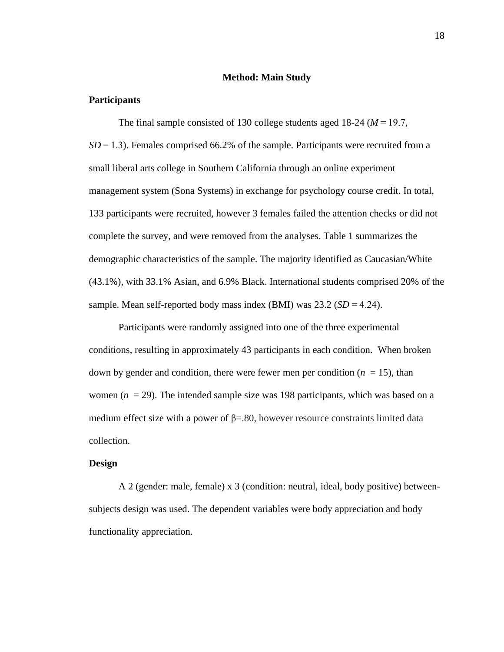#### **Method: Main Study**

#### **Participants**

The final sample consisted of 130 college students aged 18-24 (*M* = 19.7, *SD* = 1.3). Females comprised 66.2% of the sample. Participants were recruited from a small liberal arts college in Southern California through an online experiment management system (Sona Systems) in exchange for psychology course credit. In total, 133 participants were recruited, however 3 females failed the attention checks or did not complete the survey, and were removed from the analyses. Table 1 summarizes the demographic characteristics of the sample. The majority identified as Caucasian/White (43.1%), with 33.1% Asian, and 6.9% Black. International students comprised 20% of the sample. Mean self-reported body mass index (BMI) was  $23.2$  (*SD* = 4.24).

Participants were randomly assigned into one of the three experimental conditions, resulting in approximately 43 participants in each condition. When broken down by gender and condition, there were fewer men per condition  $(n = 15)$ , than women (*n* = 29). The intended sample size was 198 participants, which was based on a medium effect size with a power of  $\beta = 0.80$ , however resource constraints limited data collection.

#### **Design**

A 2 (gender: male, female) x 3 (condition: neutral, ideal, body positive) betweensubjects design was used. The dependent variables were body appreciation and body functionality appreciation.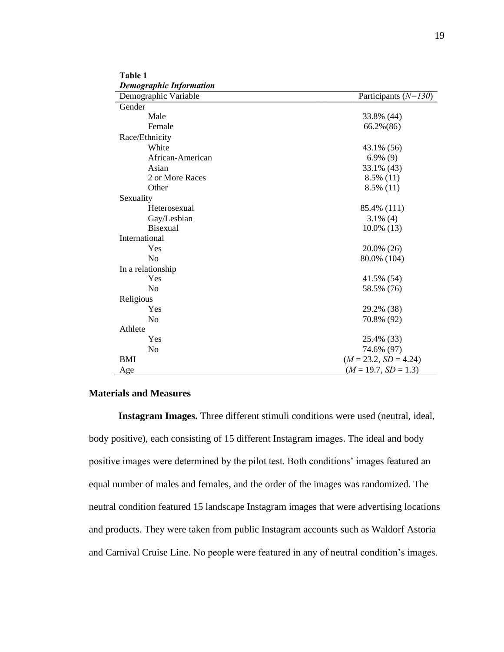| Table 1                 |  |
|-------------------------|--|
| Demographic Information |  |

| Demogrupnic Injormunon<br>Demographic Variable | Participants $(N=130)$  |
|------------------------------------------------|-------------------------|
| Gender                                         |                         |
| Male                                           | 33.8% (44)              |
| Female                                         | 66.2%(86)               |
| Race/Ethnicity                                 |                         |
| White                                          | 43.1% (56)              |
| African-American                               | $6.9\%$ (9)             |
| Asian                                          | 33.1% (43)              |
| 2 or More Races                                | $8.5\%$ (11)            |
| Other                                          | $8.5\%$ (11)            |
| Sexuality                                      |                         |
| Heterosexual                                   | 85.4% (111)             |
| Gay/Lesbian                                    | $3.1\%$ (4)             |
| <b>Bisexual</b>                                | $10.0\%$ (13)           |
| International                                  |                         |
| Yes                                            | 20.0% (26)              |
| N <sub>o</sub>                                 | 80.0% (104)             |
| In a relationship                              |                         |
| Yes                                            | 41.5% (54)              |
| N <sub>o</sub>                                 | 58.5% (76)              |
| Religious                                      |                         |
| Yes                                            | 29.2% (38)              |
| N <sub>0</sub>                                 | 70.8% (92)              |
| Athlete                                        |                         |
| Yes                                            | 25.4% (33)              |
| No                                             | 74.6% (97)              |
| <b>BMI</b>                                     | $(M = 23.2, SD = 4.24)$ |
| Age                                            | $(M = 19.7, SD = 1.3)$  |

### **Materials and Measures**

**Instagram Images.** Three different stimuli conditions were used (neutral, ideal, body positive), each consisting of 15 different Instagram images. The ideal and body positive images were determined by the pilot test. Both conditions' images featured an equal number of males and females, and the order of the images was randomized. The neutral condition featured 15 landscape Instagram images that were advertising locations and products. They were taken from public Instagram accounts such as Waldorf Astoria and Carnival Cruise Line. No people were featured in any of neutral condition's images.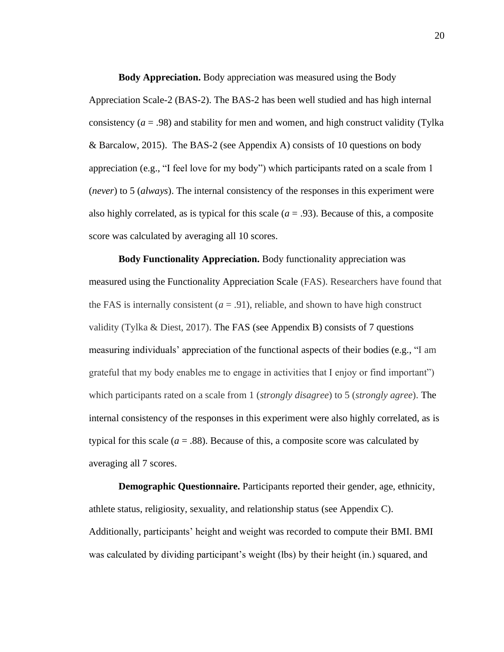**Body Appreciation.** Body appreciation was measured using the Body Appreciation Scale-2 (BAS-2). The BAS-2 has been well studied and has high internal consistency  $(a = .98)$  and stability for men and women, and high construct validity (Tylka) & Barcalow, 2015). The BAS-2 (see Appendix A) consists of 10 questions on body appreciation (e.g., "I feel love for my body") which participants rated on a scale from 1 (*never*) to 5 (*always*). The internal consistency of the responses in this experiment were also highly correlated, as is typical for this scale  $(a = .93)$ . Because of this, a composite score was calculated by averaging all 10 scores.

**Body Functionality Appreciation.** Body functionality appreciation was measured using the Functionality Appreciation Scale (FAS). Researchers have found that the FAS is internally consistent  $(a = .91)$ , reliable, and shown to have high construct validity (Tylka & Diest, 2017). The FAS (see Appendix B) consists of 7 questions measuring individuals' appreciation of the functional aspects of their bodies (e.g., "I am grateful that my body enables me to engage in activities that I enjoy or find important") which participants rated on a scale from 1 (*strongly disagree*) to 5 (*strongly agree*). The internal consistency of the responses in this experiment were also highly correlated, as is typical for this scale  $(a = .88)$ . Because of this, a composite score was calculated by averaging all 7 scores.

**Demographic Questionnaire.** Participants reported their gender, age, ethnicity, athlete status, religiosity, sexuality, and relationship status (see Appendix C). Additionally, participants' height and weight was recorded to compute their BMI. BMI was calculated by dividing participant's weight (lbs) by their height (in.) squared, and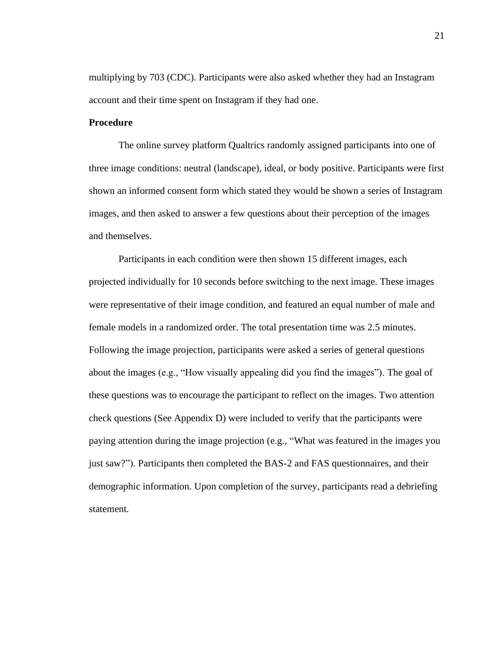multiplying by 703 (CDC). Participants were also asked whether they had an Instagram account and their time spent on Instagram if they had one.

## **Procedure**

The online survey platform Qualtrics randomly assigned participants into one of three image conditions: neutral (landscape), ideal, or body positive. Participants were first shown an informed consent form which stated they would be shown a series of Instagram images, and then asked to answer a few questions about their perception of the images and themselves.

Participants in each condition were then shown 15 different images, each projected individually for 10 seconds before switching to the next image. These images were representative of their image condition, and featured an equal number of male and female models in a randomized order. The total presentation time was 2.5 minutes. Following the image projection, participants were asked a series of general questions about the images (e.g., "How visually appealing did you find the images"). The goal of these questions was to encourage the participant to reflect on the images. Two attention check questions (See Appendix D) were included to verify that the participants were paying attention during the image projection (e.g., "What was featured in the images you just saw?"). Participants then completed the BAS-2 and FAS questionnaires, and their demographic information. Upon completion of the survey, participants read a debriefing statement.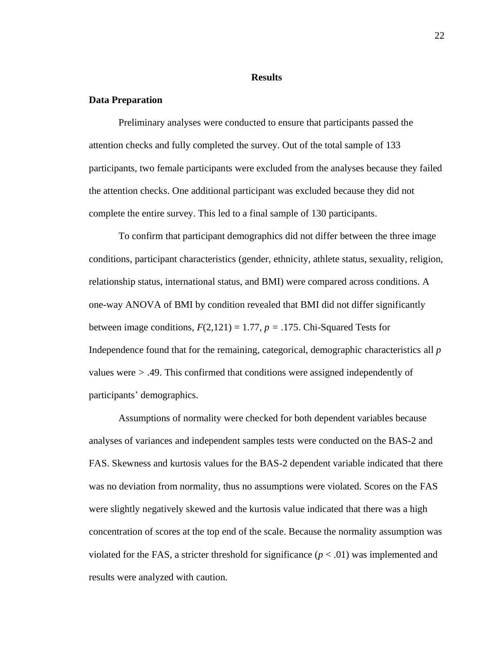#### **Results**

#### **Data Preparation**

Preliminary analyses were conducted to ensure that participants passed the attention checks and fully completed the survey. Out of the total sample of 133 participants, two female participants were excluded from the analyses because they failed the attention checks. One additional participant was excluded because they did not complete the entire survey. This led to a final sample of 130 participants.

To confirm that participant demographics did not differ between the three image conditions, participant characteristics (gender, ethnicity, athlete status, sexuality, religion, relationship status, international status, and BMI) were compared across conditions. A one-way ANOVA of BMI by condition revealed that BMI did not differ significantly between image conditions,  $F(2,121) = 1.77$ ,  $p = .175$ . Chi-Squared Tests for Independence found that for the remaining, categorical, demographic characteristics all *p* values were *>* .49. This confirmed that conditions were assigned independently of participants' demographics.

Assumptions of normality were checked for both dependent variables because analyses of variances and independent samples tests were conducted on the BAS-2 and FAS. Skewness and kurtosis values for the BAS-2 dependent variable indicated that there was no deviation from normality, thus no assumptions were violated. Scores on the FAS were slightly negatively skewed and the kurtosis value indicated that there was a high concentration of scores at the top end of the scale. Because the normality assumption was violated for the FAS, a stricter threshold for significance  $(p < .01)$  was implemented and results were analyzed with caution.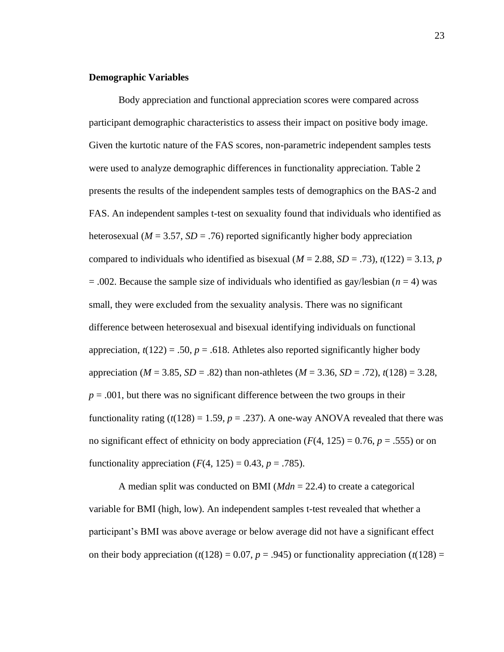#### **Demographic Variables**

Body appreciation and functional appreciation scores were compared across participant demographic characteristics to assess their impact on positive body image. Given the kurtotic nature of the FAS scores, non-parametric independent samples tests were used to analyze demographic differences in functionality appreciation. Table 2 presents the results of the independent samples tests of demographics on the BAS-2 and FAS. An independent samples t-test on sexuality found that individuals who identified as heterosexual ( $M = 3.57$ ,  $SD = .76$ ) reported significantly higher body appreciation compared to individuals who identified as bisexual ( $M = 2.88$ ,  $SD = .73$ ),  $t(122) = 3.13$ , *p*  $= .002$ . Because the sample size of individuals who identified as gay/lesbian ( $n = 4$ ) was small, they were excluded from the sexuality analysis. There was no significant difference between heterosexual and bisexual identifying individuals on functional appreciation,  $t(122) = .50$ ,  $p = .618$ . Athletes also reported significantly higher body appreciation ( $M = 3.85$ ,  $SD = .82$ ) than non-athletes ( $M = 3.36$ ,  $SD = .72$ ),  $t(128) = 3.28$ ,  $p = .001$ , but there was no significant difference between the two groups in their functionality rating  $(t(128) = 1.59, p = .237)$ . A one-way ANOVA revealed that there was no significant effect of ethnicity on body appreciation  $(F(4, 125) = 0.76, p = .555)$  or on functionality appreciation  $(F(4, 125) = 0.43, p = .785)$ .

A median split was conducted on BMI (*Mdn* = 22.4) to create a categorical variable for BMI (high, low). An independent samples t-test revealed that whether a participant's BMI was above average or below average did not have a significant effect on their body appreciation  $(t(128) = 0.07, p = .945)$  or functionality appreciation  $(t(128) =$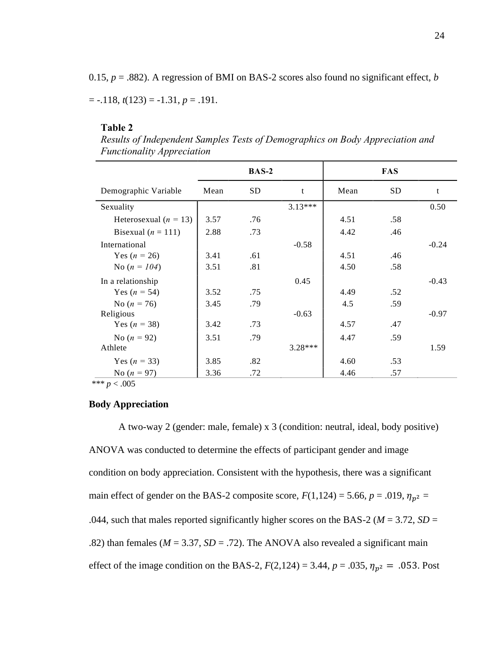0.15,  $p = .882$ ). A regression of BMI on BAS-2 scores also found no significant effect, *b* 

 $= -.118$ ,  $t(123) = -1.31$ ,  $p = .191$ .

#### **Table 2**

*Results of Independent Samples Tests of Demographics on Body Appreciation and Functionality Appreciation* 

|                                                                              | <b>BAS-2</b> |     | <b>FAS</b> |      |     |         |
|------------------------------------------------------------------------------|--------------|-----|------------|------|-----|---------|
| Demographic Variable                                                         | Mean         | SD. | t          | Mean | SD  | t       |
| Sexuality                                                                    |              |     | $3.13***$  |      |     | 0.50    |
| Heterosexual ( $n = 13$ )                                                    | 3.57         | .76 |            | 4.51 | .58 |         |
| Bisexual ( $n = 111$ )                                                       | 2.88         | .73 |            | 4.42 | .46 |         |
| International                                                                |              |     | $-0.58$    |      |     | $-0.24$ |
| Yes $(n = 26)$                                                               | 3.41         | .61 |            | 4.51 | .46 |         |
| No $(n = 104)$                                                               | 3.51         | .81 |            | 4.50 | .58 |         |
| In a relationship                                                            |              |     | 0.45       |      |     | $-0.43$ |
| Yes $(n = 54)$                                                               | 3.52         | .75 |            | 4.49 | .52 |         |
| No $(n = 76)$                                                                | 3.45         | .79 |            | 4.5  | .59 |         |
| Religious                                                                    |              |     | $-0.63$    |      |     | $-0.97$ |
| Yes $(n = 38)$                                                               | 3.42         | .73 |            | 4.57 | .47 |         |
| No $(n = 92)$                                                                | 3.51         | .79 |            | 4.47 | .59 |         |
| Athlete                                                                      |              |     | $3.28***$  |      |     | 1.59    |
| Yes $(n = 33)$                                                               | 3.85         | .82 |            | 4.60 | .53 |         |
| No $(n = 97)$<br>$\mathbf{u} \cdot \mathbf{v}$ $\mathbf{v} \cdot \mathbf{v}$ | 3.36         | .72 |            | 4.46 | .57 |         |

*\*\*\* p* < .005

### **Body Appreciation**

A two-way 2 (gender: male, female) x 3 (condition: neutral, ideal, body positive) ANOVA was conducted to determine the effects of participant gender and image condition on body appreciation. Consistent with the hypothesis, there was a significant main effect of gender on the BAS-2 composite score,  $F(1,124) = 5.66$ ,  $p = .019$ ,  $\eta_{p^2} =$ .044, such that males reported significantly higher scores on the BAS-2 ( $M = 3.72$ ,  $SD =$ .82) than females ( $M = 3.37$ ,  $SD = .72$ ). The ANOVA also revealed a significant main effect of the image condition on the BAS-2,  $F(2,124) = 3.44$ ,  $p = .035$ ,  $\eta_{p^2} = .053$ . Post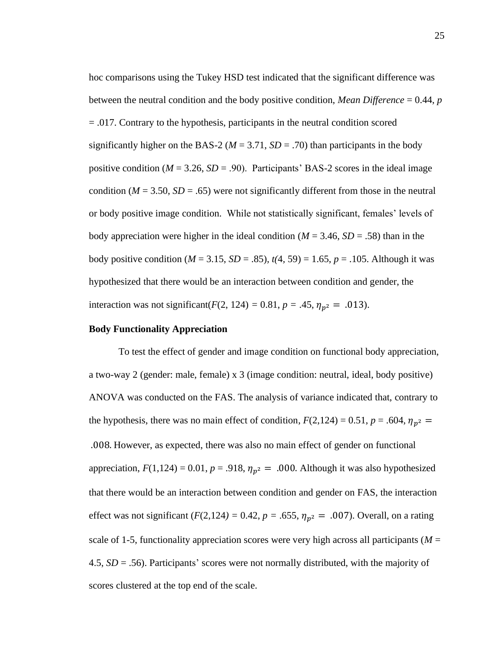hoc comparisons using the Tukey HSD test indicated that the significant difference was between the neutral condition and the body positive condition, *Mean Difference* = 0.44, *p*  = .017. Contrary to the hypothesis, participants in the neutral condition scored significantly higher on the BAS-2 ( $M = 3.71$ ,  $SD = .70$ ) than participants in the body positive condition ( $M = 3.26$ ,  $SD = .90$ ). Participants' BAS-2 scores in the ideal image condition ( $M = 3.50$ ,  $SD = .65$ ) were not significantly different from those in the neutral or body positive image condition. While not statistically significant, females' levels of body appreciation were higher in the ideal condition ( $M = 3.46$ ,  $SD = .58$ ) than in the body positive condition ( $M = 3.15$ ,  $SD = .85$ ),  $t(4, 59) = 1.65$ ,  $p = .105$ . Although it was hypothesized that there would be an interaction between condition and gender, the interaction was not significant(*F*(2, 124) = 0.81,  $p = .45$ ,  $\eta_{p^2} = .013$ ).

#### **Body Functionality Appreciation**

To test the effect of gender and image condition on functional body appreciation, a two-way 2 (gender: male, female) x 3 (image condition: neutral, ideal, body positive) ANOVA was conducted on the FAS. The analysis of variance indicated that, contrary to the hypothesis, there was no main effect of condition,  $F(2,124) = 0.51$ ,  $p = .604$ ,  $\eta_{p^2} =$ .008. However, as expected, there was also no main effect of gender on functional appreciation,  $F(1,124) = 0.01$ ,  $p = .918$ ,  $\eta_{p^2} = .000$ . Although it was also hypothesized that there would be an interaction between condition and gender on FAS, the interaction effect was not significant ( $F(2,124) = 0.42$ ,  $p = .655$ ,  $\eta_{p^2} = .007$ ). Overall, on a rating scale of 1-5, functionality appreciation scores were very high across all participants ( $M =$ 4.5, *SD* = .56). Participants' scores were not normally distributed, with the majority of scores clustered at the top end of the scale.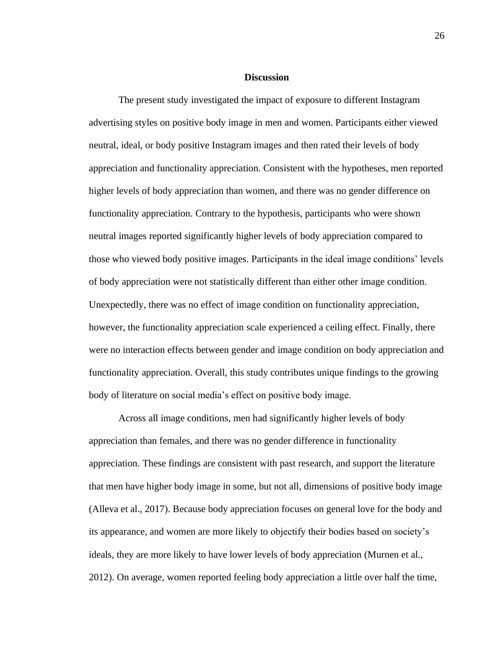#### **Discussion**

The present study investigated the impact of exposure to different Instagram advertising styles on positive body image in men and women. Participants either viewed neutral, ideal, or body positive Instagram images and then rated their levels of body appreciation and functionality appreciation. Consistent with the hypotheses, men reported higher levels of body appreciation than women, and there was no gender difference on functionality appreciation. Contrary to the hypothesis, participants who were shown neutral images reported significantly higher levels of body appreciation compared to those who viewed body positive images. Participants in the ideal image conditions' levels of body appreciation were not statistically different than either other image condition. Unexpectedly, there was no effect of image condition on functionality appreciation, however, the functionality appreciation scale experienced a ceiling effect. Finally, there were no interaction effects between gender and image condition on body appreciation and functionality appreciation. Overall, this study contributes unique findings to the growing body of literature on social media's effect on positive body image.

Across all image conditions, men had significantly higher levels of body appreciation than females, and there was no gender difference in functionality appreciation. These findings are consistent with past research, and support the literature that men have higher body image in some, but not all, dimensions of positive body image (Alleva et al., 2017). Because body appreciation focuses on general love for the body and its appearance, and women are more likely to objectify their bodies based on society's ideals, they are more likely to have lower levels of body appreciation (Murnen et al., 2012). On average, women reported feeling body appreciation a little over half the time,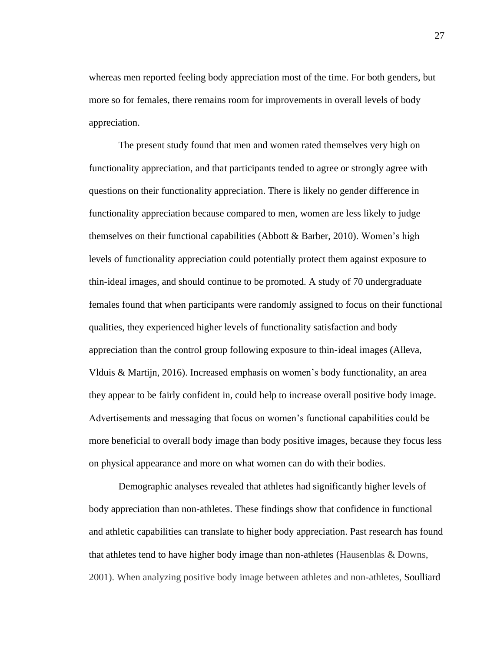whereas men reported feeling body appreciation most of the time. For both genders, but more so for females, there remains room for improvements in overall levels of body appreciation.

The present study found that men and women rated themselves very high on functionality appreciation, and that participants tended to agree or strongly agree with questions on their functionality appreciation. There is likely no gender difference in functionality appreciation because compared to men, women are less likely to judge themselves on their functional capabilities (Abbott & Barber, 2010). Women's high levels of functionality appreciation could potentially protect them against exposure to thin-ideal images, and should continue to be promoted. A study of 70 undergraduate females found that when participants were randomly assigned to focus on their functional qualities, they experienced higher levels of functionality satisfaction and body appreciation than the control group following exposure to thin-ideal images (Alleva, Vlduis & Martijn, 2016). Increased emphasis on women's body functionality, an area they appear to be fairly confident in, could help to increase overall positive body image. Advertisements and messaging that focus on women's functional capabilities could be more beneficial to overall body image than body positive images, because they focus less on physical appearance and more on what women can do with their bodies.

Demographic analyses revealed that athletes had significantly higher levels of body appreciation than non-athletes. These findings show that confidence in functional and athletic capabilities can translate to higher body appreciation. Past research has found that athletes tend to have higher body image than non-athletes (Hausenblas & Downs, 2001). When analyzing positive body image between athletes and non-athletes, Soulliard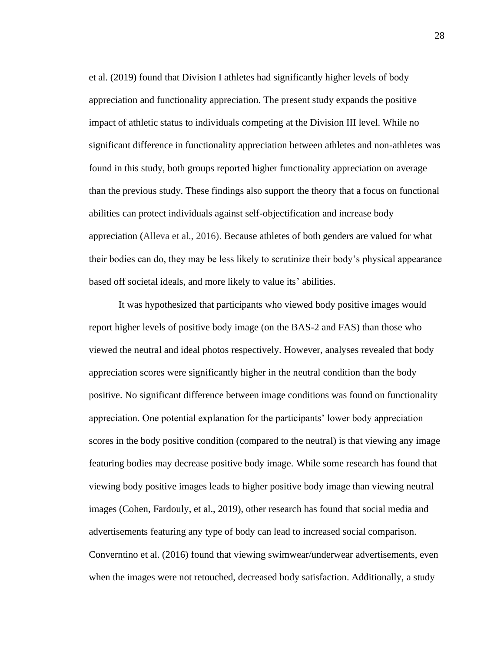et al. (2019) found that Division I athletes had significantly higher levels of body appreciation and functionality appreciation. The present study expands the positive impact of athletic status to individuals competing at the Division III level. While no significant difference in functionality appreciation between athletes and non-athletes was found in this study, both groups reported higher functionality appreciation on average than the previous study. These findings also support the theory that a focus on functional abilities can protect individuals against self-objectification and increase body appreciation (Alleva et al., 2016). Because athletes of both genders are valued for what their bodies can do, they may be less likely to scrutinize their body's physical appearance based off societal ideals, and more likely to value its' abilities.

It was hypothesized that participants who viewed body positive images would report higher levels of positive body image (on the BAS-2 and FAS) than those who viewed the neutral and ideal photos respectively. However, analyses revealed that body appreciation scores were significantly higher in the neutral condition than the body positive. No significant difference between image conditions was found on functionality appreciation. One potential explanation for the participants' lower body appreciation scores in the body positive condition (compared to the neutral) is that viewing any image featuring bodies may decrease positive body image. While some research has found that viewing body positive images leads to higher positive body image than viewing neutral images (Cohen, Fardouly, et al., 2019), other research has found that social media and advertisements featuring any type of body can lead to increased social comparison. Converntino et al. (2016) found that viewing swimwear/underwear advertisements, even when the images were not retouched, decreased body satisfaction. Additionally, a study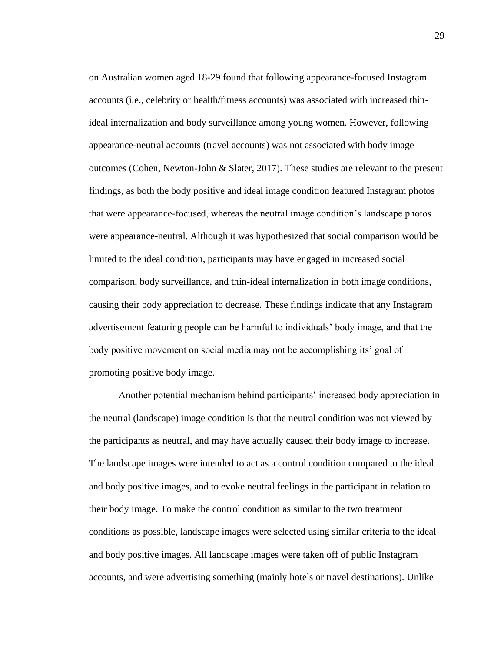on Australian women aged 18-29 found that following appearance-focused Instagram accounts (i.e., celebrity or health/fitness accounts) was associated with increased thinideal internalization and body surveillance among young women. However, following appearance-neutral accounts (travel accounts) was not associated with body image outcomes (Cohen, Newton-John & Slater, 2017). These studies are relevant to the present findings, as both the body positive and ideal image condition featured Instagram photos that were appearance-focused, whereas the neutral image condition's landscape photos were appearance-neutral. Although it was hypothesized that social comparison would be limited to the ideal condition, participants may have engaged in increased social comparison, body surveillance, and thin-ideal internalization in both image conditions, causing their body appreciation to decrease. These findings indicate that any Instagram advertisement featuring people can be harmful to individuals' body image, and that the body positive movement on social media may not be accomplishing its' goal of promoting positive body image.

Another potential mechanism behind participants' increased body appreciation in the neutral (landscape) image condition is that the neutral condition was not viewed by the participants as neutral, and may have actually caused their body image to increase. The landscape images were intended to act as a control condition compared to the ideal and body positive images, and to evoke neutral feelings in the participant in relation to their body image. To make the control condition as similar to the two treatment conditions as possible, landscape images were selected using similar criteria to the ideal and body positive images. All landscape images were taken off of public Instagram accounts, and were advertising something (mainly hotels or travel destinations). Unlike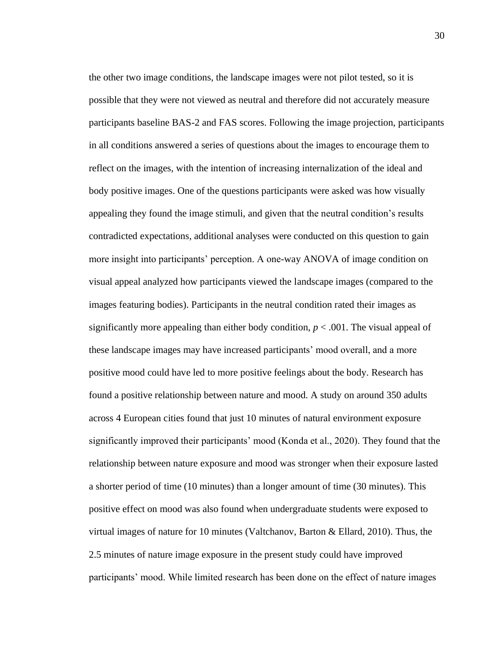the other two image conditions, the landscape images were not pilot tested, so it is possible that they were not viewed as neutral and therefore did not accurately measure participants baseline BAS-2 and FAS scores. Following the image projection, participants in all conditions answered a series of questions about the images to encourage them to reflect on the images, with the intention of increasing internalization of the ideal and body positive images. One of the questions participants were asked was how visually appealing they found the image stimuli, and given that the neutral condition's results contradicted expectations, additional analyses were conducted on this question to gain more insight into participants' perception. A one-way ANOVA of image condition on visual appeal analyzed how participants viewed the landscape images (compared to the images featuring bodies). Participants in the neutral condition rated their images as significantly more appealing than either body condition,  $p < .001$ . The visual appeal of these landscape images may have increased participants' mood overall, and a more positive mood could have led to more positive feelings about the body. Research has found a positive relationship between nature and mood. A study on around 350 adults across 4 European cities found that just 10 minutes of natural environment exposure significantly improved their participants' mood (Konda et al., 2020). They found that the relationship between nature exposure and mood was stronger when their exposure lasted a shorter period of time (10 minutes) than a longer amount of time (30 minutes). This positive effect on mood was also found when undergraduate students were exposed to virtual images of nature for 10 minutes (Valtchanov, Barton & Ellard, 2010). Thus, the 2.5 minutes of nature image exposure in the present study could have improved participants' mood. While limited research has been done on the effect of nature images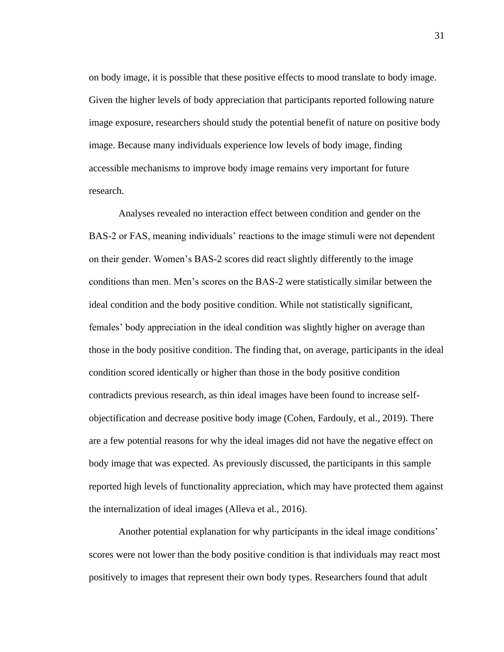on body image, it is possible that these positive effects to mood translate to body image. Given the higher levels of body appreciation that participants reported following nature image exposure, researchers should study the potential benefit of nature on positive body image. Because many individuals experience low levels of body image, finding accessible mechanisms to improve body image remains very important for future research.

Analyses revealed no interaction effect between condition and gender on the BAS-2 or FAS, meaning individuals' reactions to the image stimuli were not dependent on their gender. Women's BAS-2 scores did react slightly differently to the image conditions than men. Men's scores on the BAS-2 were statistically similar between the ideal condition and the body positive condition. While not statistically significant, females' body appreciation in the ideal condition was slightly higher on average than those in the body positive condition. The finding that, on average, participants in the ideal condition scored identically or higher than those in the body positive condition contradicts previous research, as thin ideal images have been found to increase selfobjectification and decrease positive body image (Cohen, Fardouly, et al., 2019). There are a few potential reasons for why the ideal images did not have the negative effect on body image that was expected. As previously discussed, the participants in this sample reported high levels of functionality appreciation, which may have protected them against the internalization of ideal images (Alleva et al., 2016).

Another potential explanation for why participants in the ideal image conditions' scores were not lower than the body positive condition is that individuals may react most positively to images that represent their own body types. Researchers found that adult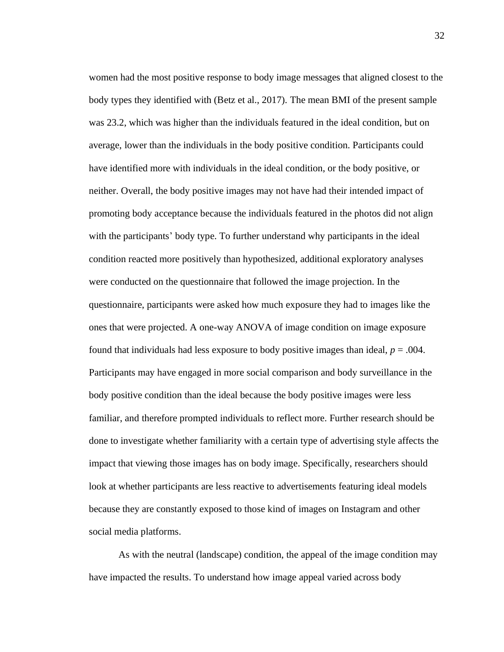women had the most positive response to body image messages that aligned closest to the body types they identified with (Betz et al., 2017). The mean BMI of the present sample was 23.2, which was higher than the individuals featured in the ideal condition, but on average, lower than the individuals in the body positive condition. Participants could have identified more with individuals in the ideal condition, or the body positive, or neither. Overall, the body positive images may not have had their intended impact of promoting body acceptance because the individuals featured in the photos did not align with the participants' body type. To further understand why participants in the ideal condition reacted more positively than hypothesized, additional exploratory analyses were conducted on the questionnaire that followed the image projection. In the questionnaire, participants were asked how much exposure they had to images like the ones that were projected. A one-way ANOVA of image condition on image exposure found that individuals had less exposure to body positive images than ideal,  $p = .004$ . Participants may have engaged in more social comparison and body surveillance in the body positive condition than the ideal because the body positive images were less familiar, and therefore prompted individuals to reflect more. Further research should be done to investigate whether familiarity with a certain type of advertising style affects the impact that viewing those images has on body image. Specifically, researchers should look at whether participants are less reactive to advertisements featuring ideal models because they are constantly exposed to those kind of images on Instagram and other social media platforms.

As with the neutral (landscape) condition, the appeal of the image condition may have impacted the results. To understand how image appeal varied across body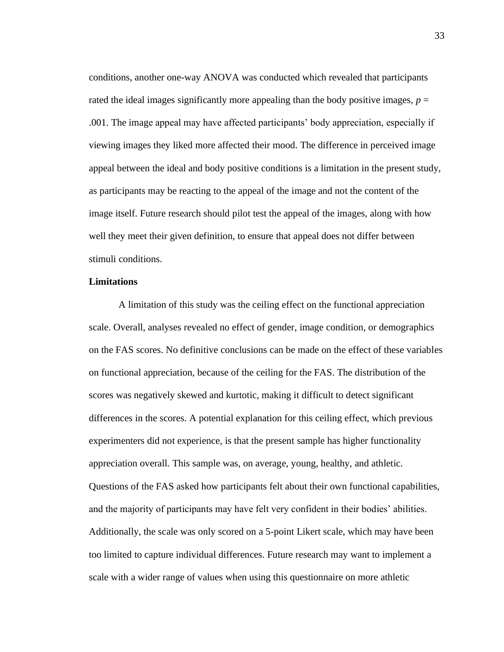conditions, another one-way ANOVA was conducted which revealed that participants rated the ideal images significantly more appealing than the body positive images,  $p =$ .001. The image appeal may have affected participants' body appreciation, especially if viewing images they liked more affected their mood. The difference in perceived image appeal between the ideal and body positive conditions is a limitation in the present study, as participants may be reacting to the appeal of the image and not the content of the image itself. Future research should pilot test the appeal of the images, along with how well they meet their given definition, to ensure that appeal does not differ between stimuli conditions.

#### **Limitations**

A limitation of this study was the ceiling effect on the functional appreciation scale. Overall, analyses revealed no effect of gender, image condition, or demographics on the FAS scores. No definitive conclusions can be made on the effect of these variables on functional appreciation, because of the ceiling for the FAS. The distribution of the scores was negatively skewed and kurtotic, making it difficult to detect significant differences in the scores. A potential explanation for this ceiling effect, which previous experimenters did not experience, is that the present sample has higher functionality appreciation overall. This sample was, on average, young, healthy, and athletic. Questions of the FAS asked how participants felt about their own functional capabilities, and the majority of participants may have felt very confident in their bodies' abilities. Additionally, the scale was only scored on a 5-point Likert scale, which may have been too limited to capture individual differences. Future research may want to implement a scale with a wider range of values when using this questionnaire on more athletic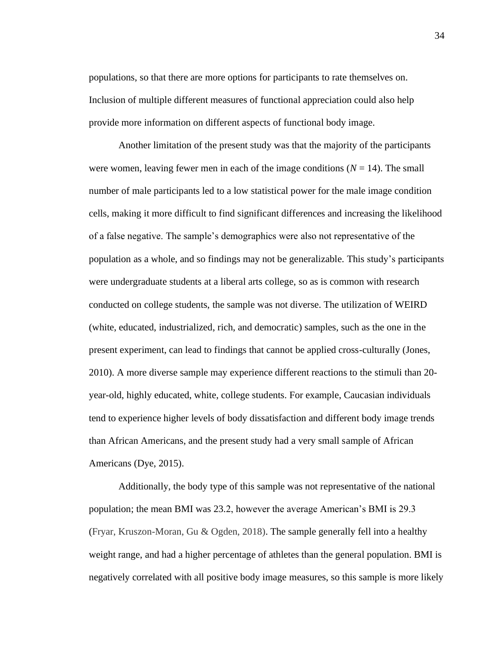populations, so that there are more options for participants to rate themselves on. Inclusion of multiple different measures of functional appreciation could also help provide more information on different aspects of functional body image.

Another limitation of the present study was that the majority of the participants were women, leaving fewer men in each of the image conditions  $(N = 14)$ . The small number of male participants led to a low statistical power for the male image condition cells, making it more difficult to find significant differences and increasing the likelihood of a false negative. The sample's demographics were also not representative of the population as a whole, and so findings may not be generalizable. This study's participants were undergraduate students at a liberal arts college, so as is common with research conducted on college students, the sample was not diverse. The utilization of WEIRD (white, educated, industrialized, rich, and democratic) samples, such as the one in the present experiment, can lead to findings that cannot be applied cross-culturally (Jones, 2010). A more diverse sample may experience different reactions to the stimuli than 20 year-old, highly educated, white, college students. For example, Caucasian individuals tend to experience higher levels of body dissatisfaction and different body image trends than African Americans, and the present study had a very small sample of African Americans (Dye, 2015).

Additionally, the body type of this sample was not representative of the national population; the mean BMI was 23.2, however the average American's BMI is 29.3 (Fryar, Kruszon-Moran, Gu & Ogden, 2018). The sample generally fell into a healthy weight range, and had a higher percentage of athletes than the general population. BMI is negatively correlated with all positive body image measures, so this sample is more likely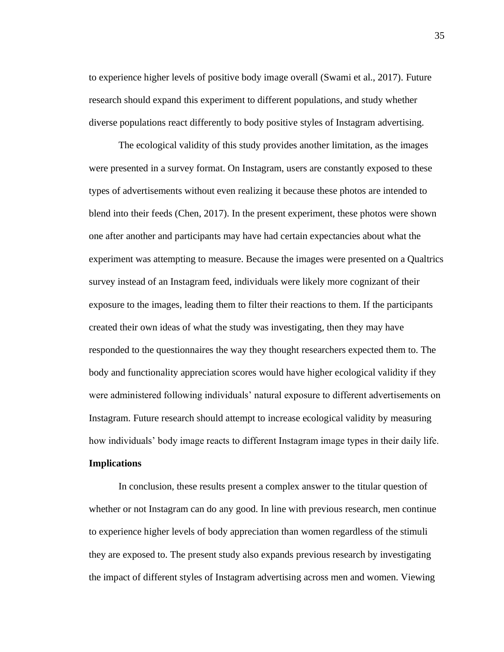to experience higher levels of positive body image overall (Swami et al., 2017). Future research should expand this experiment to different populations, and study whether diverse populations react differently to body positive styles of Instagram advertising.

The ecological validity of this study provides another limitation, as the images were presented in a survey format. On Instagram, users are constantly exposed to these types of advertisements without even realizing it because these photos are intended to blend into their feeds (Chen, 2017). In the present experiment, these photos were shown one after another and participants may have had certain expectancies about what the experiment was attempting to measure. Because the images were presented on a Qualtrics survey instead of an Instagram feed, individuals were likely more cognizant of their exposure to the images, leading them to filter their reactions to them. If the participants created their own ideas of what the study was investigating, then they may have responded to the questionnaires the way they thought researchers expected them to. The body and functionality appreciation scores would have higher ecological validity if they were administered following individuals' natural exposure to different advertisements on Instagram. Future research should attempt to increase ecological validity by measuring how individuals' body image reacts to different Instagram image types in their daily life. **Implications** 

In conclusion, these results present a complex answer to the titular question of whether or not Instagram can do any good. In line with previous research, men continue to experience higher levels of body appreciation than women regardless of the stimuli they are exposed to. The present study also expands previous research by investigating the impact of different styles of Instagram advertising across men and women. Viewing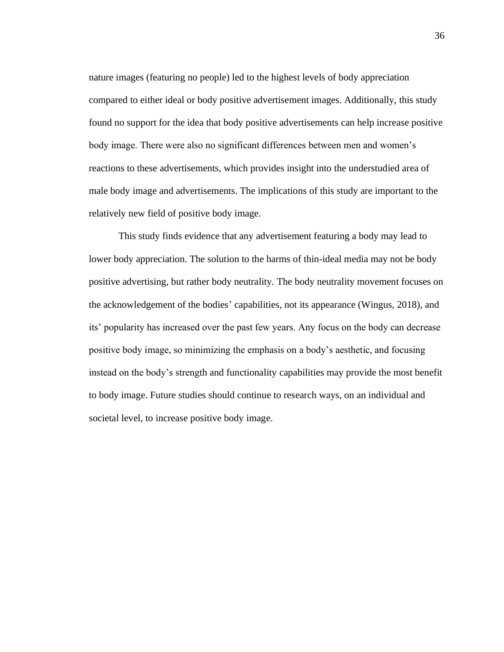nature images (featuring no people) led to the highest levels of body appreciation compared to either ideal or body positive advertisement images. Additionally, this study found no support for the idea that body positive advertisements can help increase positive body image. There were also no significant differences between men and women's reactions to these advertisements, which provides insight into the understudied area of male body image and advertisements. The implications of this study are important to the relatively new field of positive body image.

This study finds evidence that any advertisement featuring a body may lead to lower body appreciation. The solution to the harms of thin-ideal media may not be body positive advertising, but rather body neutrality. The body neutrality movement focuses on the acknowledgement of the bodies' capabilities, not its appearance (Wingus, 2018), and its' popularity has increased over the past few years. Any focus on the body can decrease positive body image, so minimizing the emphasis on a body's aesthetic, and focusing instead on the body's strength and functionality capabilities may provide the most benefit to body image. Future studies should continue to research ways, on an individual and societal level, to increase positive body image.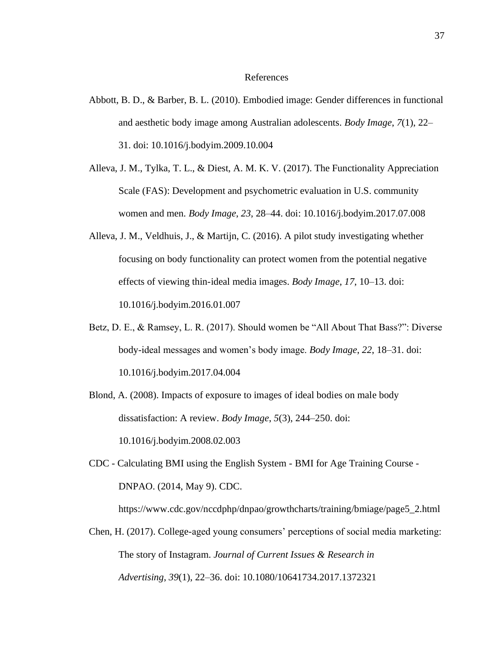#### References

- Abbott, B. D., & Barber, B. L. (2010). Embodied image: Gender differences in functional and aesthetic body image among Australian adolescents. *Body Image*, *7*(1), 22– 31. doi: 10.1016/j.bodyim.2009.10.004
- Alleva, J. M., Tylka, T. L., & Diest, A. M. K. V. (2017). The Functionality Appreciation Scale (FAS): Development and psychometric evaluation in U.S. community women and men. *Body Image*, *23*, 28–44. doi: 10.1016/j.bodyim.2017.07.008
- Alleva, J. M., Veldhuis, J., & Martijn, C. (2016). A pilot study investigating whether focusing on body functionality can protect women from the potential negative effects of viewing thin-ideal media images. *Body Image*, *17*, 10–13. doi: 10.1016/j.bodyim.2016.01.007
- Betz, D. E., & Ramsey, L. R. (2017). Should women be "All About That Bass?": Diverse body-ideal messages and women's body image. *Body Image*, *22*, 18–31. doi: 10.1016/j.bodyim.2017.04.004
- Blond, A. (2008). Impacts of exposure to images of ideal bodies on male body dissatisfaction: A review. *Body Image*, *5*(3), 244–250. doi: 10.1016/j.bodyim.2008.02.003
- CDC Calculating BMI using the English System BMI for Age Training Course DNPAO. (2014, May 9). CDC.
- Chen, H. (2017). College-aged young consumers' perceptions of social media marketing:

https://www.cdc.gov/nccdphp/dnpao/growthcharts/training/bmiage/page5\_2.html

The story of Instagram. *Journal of Current Issues & Research in Advertising*, *39*(1), 22–36. doi: 10.1080/10641734.2017.1372321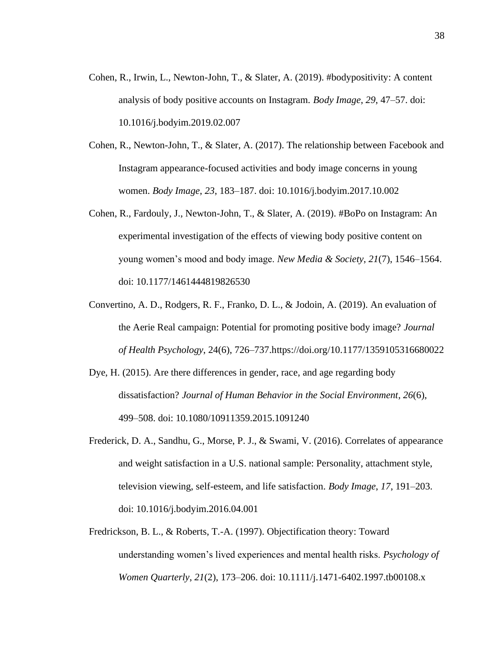- Cohen, R., Irwin, L., Newton-John, T., & Slater, A. (2019). #bodypositivity: A content analysis of body positive accounts on Instagram. *Body Image*, *29*, 47–57. doi: 10.1016/j.bodyim.2019.02.007
- Cohen, R., Newton-John, T., & Slater, A. (2017). The relationship between Facebook and Instagram appearance-focused activities and body image concerns in young women. *Body Image*, *23*, 183–187. doi: 10.1016/j.bodyim.2017.10.002
- Cohen, R., Fardouly, J., Newton-John, T., & Slater, A. (2019). #BoPo on Instagram: An experimental investigation of the effects of viewing body positive content on young women's mood and body image. *New Media & Society*, *21*(7), 1546–1564. doi: 10.1177/1461444819826530
- Convertino, A. D., Rodgers, R. F., Franko, D. L., & Jodoin, A. (2019). An evaluation of the Aerie Real campaign: Potential for promoting positive body image? *Journal of Health Psychology*, 24(6), 726–737[.https://doi.org/10.1177/1359105316680022](https://doi.org/10.1177/1359105316680022)
- Dye, H. (2015). Are there differences in gender, race, and age regarding body dissatisfaction? *Journal of Human Behavior in the Social Environment*, *26*(6), 499–508. doi: 10.1080/10911359.2015.1091240
- Frederick, D. A., Sandhu, G., Morse, P. J., & Swami, V. (2016). Correlates of appearance and weight satisfaction in a U.S. national sample: Personality, attachment style, television viewing, self-esteem, and life satisfaction. *Body Image*, *17*, 191–203. doi: 10.1016/j.bodyim.2016.04.001
- Fredrickson, B. L., & Roberts, T.-A. (1997). Objectification theory: Toward understanding women's lived experiences and mental health risks. *Psychology of Women Quarterly*, *21*(2), 173–206. doi: 10.1111/j.1471-6402.1997.tb00108.x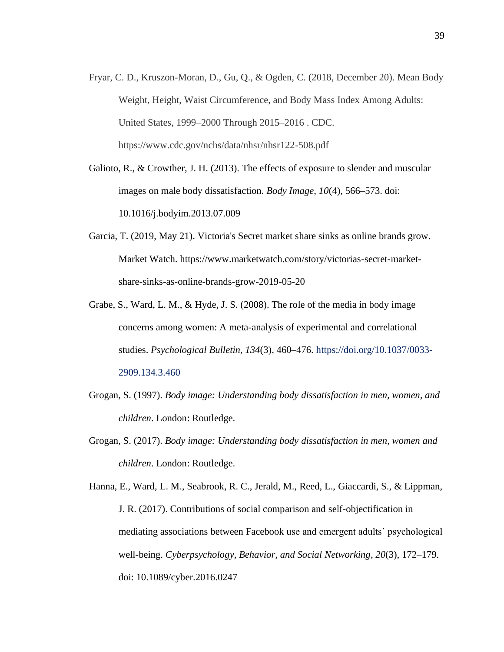Fryar, C. D., Kruszon-Moran, D., Gu, Q., & Ogden, C. (2018, December 20). Mean Body Weight, Height, Waist Circumference, and Body Mass Index Among Adults: United States, 1999–2000 Through 2015–2016 . CDC. https://www.cdc.gov/nchs/data/nhsr/nhsr122-508.pdf

Galioto, R., & Crowther, J. H. (2013). The effects of exposure to slender and muscular images on male body dissatisfaction. *Body Image*, *10*(4), 566–573. doi: 10.1016/j.bodyim.2013.07.009

- Garcia, T. (2019, May 21). Victoria's Secret market share sinks as online brands grow. Market Watch. https://www.marketwatch.com/story/victorias-secret-marketshare-sinks-as-online-brands-grow-2019-05-20
- Grabe, S., Ward, L. M., & Hyde, J. S. (2008). The role of the media in body image concerns among women: A meta-analysis of experimental and correlational studies. *Psychological Bulletin, 134*(3), 460–476. https://doi.org/10.1037/0033- 2909.134.3.460
- Grogan, S. (1997). *Body image: Understanding body dissatisfaction in men, women, and children*. London: Routledge.
- Grogan, S. (2017). *Body image: Understanding body dissatisfaction in men, women and children*. London: Routledge.
- Hanna, E., Ward, L. M., Seabrook, R. C., Jerald, M., Reed, L., Giaccardi, S., & Lippman, J. R. (2017). Contributions of social comparison and self-objectification in mediating associations between Facebook use and emergent adults' psychological well-being. *Cyberpsychology, Behavior, and Social Networking*, *20*(3), 172–179. doi: 10.1089/cyber.2016.0247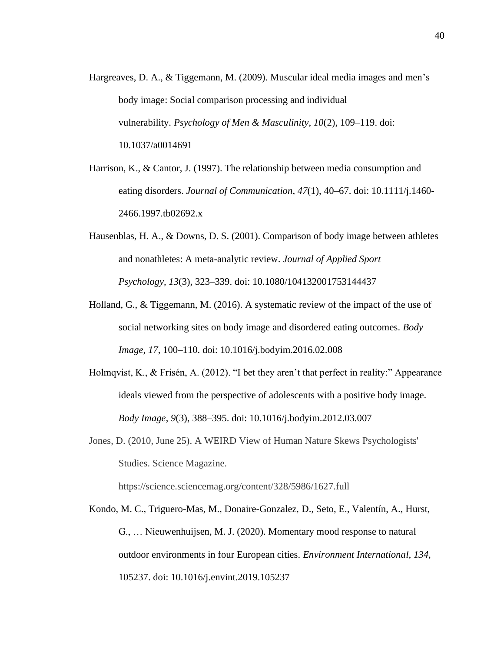- Hargreaves, D. A., & Tiggemann, M. (2009). Muscular ideal media images and men's body image: Social comparison processing and individual vulnerability. *Psychology of Men & Masculinity*, *10*(2), 109–119. doi: 10.1037/a0014691
- Harrison, K., & Cantor, J. (1997). The relationship between media consumption and eating disorders. *Journal of Communication*, *47*(1), 40–67. doi: 10.1111/j.1460- 2466.1997.tb02692.x
- Hausenblas, H. A., & Downs, D. S. (2001). Comparison of body image between athletes and nonathletes: A meta-analytic review. *Journal of Applied Sport Psychology*, *13*(3), 323–339. doi: 10.1080/104132001753144437
- Holland, G., & Tiggemann, M. (2016). A systematic review of the impact of the use of social networking sites on body image and disordered eating outcomes. *Body Image*, *17*, 100–110. doi: 10.1016/j.bodyim.2016.02.008
- Holmqvist, K., & Frisén, A. (2012). "I bet they aren't that perfect in reality:" Appearance ideals viewed from the perspective of adolescents with a positive body image. *Body Image*, *9*(3), 388–395. doi: 10.1016/j.bodyim.2012.03.007
- Jones, D. (2010, June 25). A WEIRD View of Human Nature Skews Psychologists' Studies. Science Magazine.

https://science.sciencemag.org/content/328/5986/1627.full

Kondo, M. C., Triguero-Mas, M., Donaire-Gonzalez, D., Seto, E., Valentín, A., Hurst, G., … Nieuwenhuijsen, M. J. (2020). Momentary mood response to natural outdoor environments in four European cities. *Environment International*, *134*, 105237. doi: 10.1016/j.envint.2019.105237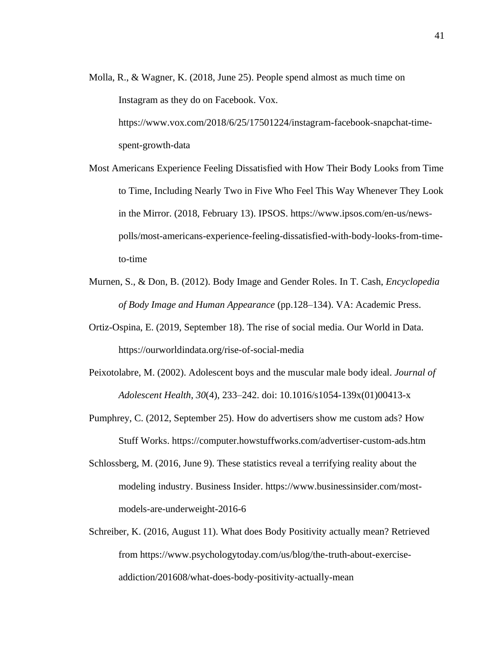- Molla, R., & Wagner, K. (2018, June 25). People spend almost as much time on Instagram as they do on Facebook. Vox. https://www.vox.com/2018/6/25/17501224/instagram-facebook-snapchat-timespent-growth-data
- Most Americans Experience Feeling Dissatisfied with How Their Body Looks from Time to Time, Including Nearly Two in Five Who Feel This Way Whenever They Look in the Mirror. (2018, February 13). IPSOS. [https://www.ipsos.com/en-us/news](https://www.ipsos.com/en-us/news-polls/most-americans-experience-feeling-dissatisfied-with-body-looks-from-time-to-time)[polls/most-americans-experience-feeling-dissatisfied-with-body-looks-from-time](https://www.ipsos.com/en-us/news-polls/most-americans-experience-feeling-dissatisfied-with-body-looks-from-time-to-time)[to-time](https://www.ipsos.com/en-us/news-polls/most-americans-experience-feeling-dissatisfied-with-body-looks-from-time-to-time)
- Murnen, S., & Don, B. (2012). Body Image and Gender Roles. In T. Cash, *Encyclopedia of Body Image and Human Appearance* (pp.128–134). VA: Academic Press.
- Ortiz-Ospina, E. (2019, September 18). The rise of social media. Our World in Data. <https://ourworldindata.org/rise-of-social-media>
- Peixotolabre, M. (2002). Adolescent boys and the muscular male body ideal. *Journal of Adolescent Health*, *30*(4), 233–242. doi: 10.1016/s1054-139x(01)00413-x
- Pumphrey, C. (2012, September 25). How do advertisers show me custom ads? How Stuff Works. https://computer.howstuffworks.com/advertiser-custom-ads.htm
- Schlossberg, M. (2016, June 9). These statistics reveal a terrifying reality about the modeling industry. Business Insider. https://www.businessinsider.com/mostmodels-are-underweight-2016-6
- Schreiber, K. (2016, August 11). What does Body Positivity actually mean? Retrieved from https://www.psychologytoday.com/us/blog/the-truth-about-exerciseaddiction/201608/what-does-body-positivity-actually-mean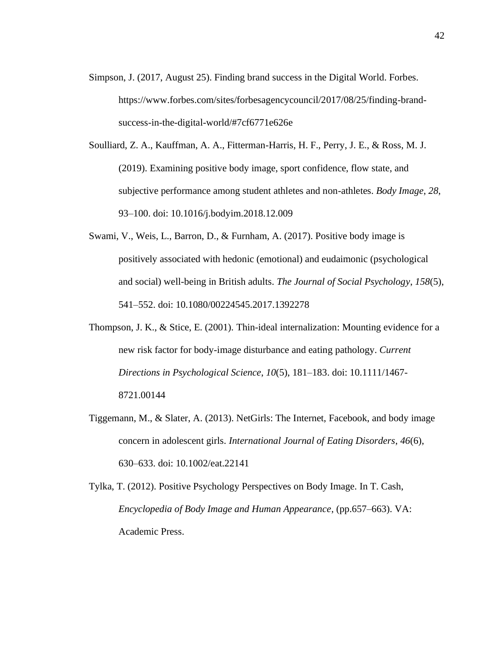- Simpson, J. (2017, August 25). Finding brand success in the Digital World. Forbes. [https://www.forbes.com/sites/forbesagencycouncil/2017/08/25/finding-brand](https://www.forbes.com/sites/forbesagencycouncil/2017/08/25/finding-brand-success-in-the-digital-world/#7cf6771e626e)[success-in-the-digital-world/#7cf6771e626e](https://www.forbes.com/sites/forbesagencycouncil/2017/08/25/finding-brand-success-in-the-digital-world/#7cf6771e626e)
- Soulliard, Z. A., Kauffman, A. A., Fitterman-Harris, H. F., Perry, J. E., & Ross, M. J. (2019). Examining positive body image, sport confidence, flow state, and subjective performance among student athletes and non-athletes. *Body Image*, *28*, 93–100. doi: 10.1016/j.bodyim.2018.12.009
- Swami, V., Weis, L., Barron, D., & Furnham, A. (2017). Positive body image is positively associated with hedonic (emotional) and eudaimonic (psychological and social) well-being in British adults. *The Journal of Social Psychology*, *158*(5), 541–552. doi: 10.1080/00224545.2017.1392278
- Thompson, J. K., & Stice, E. (2001). Thin-ideal internalization: Mounting evidence for a new risk factor for body-image disturbance and eating pathology. *Current Directions in Psychological Science*, *10*(5), 181–183. doi: 10.1111/1467- 8721.00144
- Tiggemann, M., & Slater, A. (2013). NetGirls: The Internet, Facebook, and body image concern in adolescent girls. *International Journal of Eating Disorders*, *46*(6), 630–633. doi: 10.1002/eat.22141
- Tylka, T. (2012). Positive Psychology Perspectives on Body Image. In T. Cash, *Encyclopedia of Body Image and Human Appearance*, (pp.657–663). VA: Academic Press.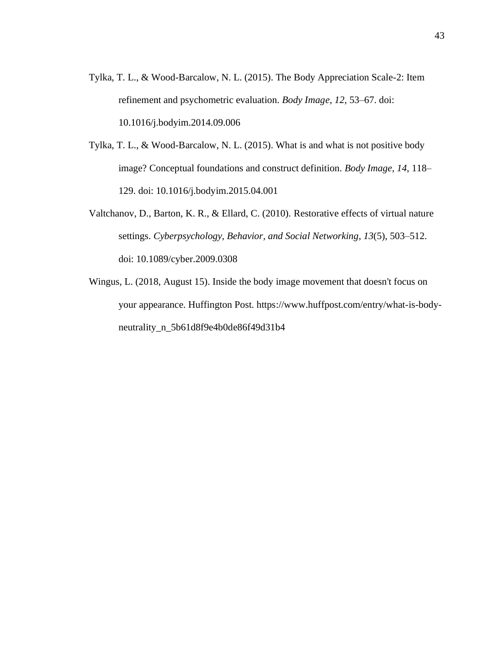- Tylka, T. L., & Wood-Barcalow, N. L. (2015). The Body Appreciation Scale-2: Item refinement and psychometric evaluation. *Body Image*, *12*, 53–67. doi: 10.1016/j.bodyim.2014.09.006
- Tylka, T. L., & Wood-Barcalow, N. L. (2015). What is and what is not positive body image? Conceptual foundations and construct definition. *Body Image*, *14*, 118– 129. doi: 10.1016/j.bodyim.2015.04.001
- Valtchanov, D., Barton, K. R., & Ellard, C. (2010). Restorative effects of virtual nature settings. *Cyberpsychology, Behavior, and Social Networking*, *13*(5), 503–512. doi: 10.1089/cyber.2009.0308
- Wingus, L. (2018, August 15). Inside the body image movement that doesn't focus on your appearance. Huffington Post. https://www.huffpost.com/entry/what-is-bodyneutrality\_n\_5b61d8f9e4b0de86f49d31b4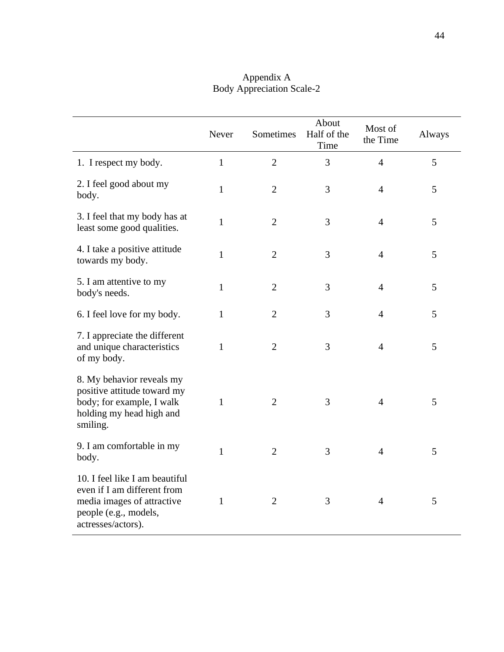|                                                                                                                                            | Never        | Sometimes      | About<br>Half of the<br>Time | Most of<br>the Time | Always |
|--------------------------------------------------------------------------------------------------------------------------------------------|--------------|----------------|------------------------------|---------------------|--------|
| 1. I respect my body.                                                                                                                      | $\mathbf{1}$ | $\overline{2}$ | 3                            | $\overline{4}$      | 5      |
| 2. I feel good about my<br>body.                                                                                                           | $\mathbf{1}$ | $\overline{2}$ | 3                            | $\overline{4}$      | 5      |
| 3. I feel that my body has at<br>least some good qualities.                                                                                | $\mathbf{1}$ | $\overline{2}$ | 3                            | $\overline{4}$      | 5      |
| 4. I take a positive attitude<br>towards my body.                                                                                          | $\mathbf{1}$ | $\overline{2}$ | 3                            | $\overline{4}$      | 5      |
| 5. I am attentive to my<br>body's needs.                                                                                                   | $\mathbf{1}$ | $\overline{2}$ | 3                            | 4                   | 5      |
| 6. I feel love for my body.                                                                                                                | $\mathbf{1}$ | $\overline{2}$ | 3                            | $\overline{4}$      | 5      |
| 7. I appreciate the different<br>and unique characteristics<br>of my body.                                                                 | $\mathbf{1}$ | $\overline{2}$ | 3                            | $\overline{4}$      | 5      |
| 8. My behavior reveals my<br>positive attitude toward my<br>body; for example, I walk<br>holding my head high and<br>smiling.              | $\mathbf{1}$ | $\overline{2}$ | 3                            | $\overline{4}$      | 5      |
| 9. I am comfortable in my<br>body.                                                                                                         | $\mathbf{1}$ | $\overline{2}$ | 3                            | $\overline{4}$      | 5      |
| 10. I feel like I am beautiful<br>even if I am different from<br>media images of attractive<br>people (e.g., models,<br>actresses/actors). | $\mathbf{1}$ | $\overline{2}$ | 3                            | $\overline{4}$      | 5      |

## Appendix A Body Appreciation Scale-2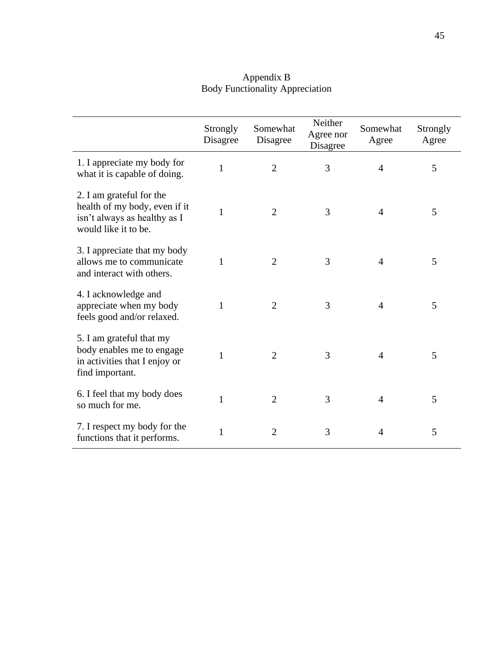| Appendix B                             |
|----------------------------------------|
| <b>Body Functionality Appreciation</b> |

|                                                                                                                   | Strongly<br>Disagree | Somewhat<br>Disagree | Neither<br>Agree nor<br>Disagree | Somewhat<br>Agree | Strongly<br>Agree |
|-------------------------------------------------------------------------------------------------------------------|----------------------|----------------------|----------------------------------|-------------------|-------------------|
| 1. I appreciate my body for<br>what it is capable of doing.                                                       | $\mathbf{1}$         | $\overline{2}$       | 3                                | 4                 | 5                 |
| 2. I am grateful for the<br>health of my body, even if it<br>isn't always as healthy as I<br>would like it to be. | $\mathbf{1}$         | $\overline{2}$       | 3                                | 4                 | 5                 |
| 3. I appreciate that my body<br>allows me to communicate<br>and interact with others.                             | 1                    | $\overline{2}$       | 3                                | 4                 | 5                 |
| 4. I acknowledge and<br>appreciate when my body<br>feels good and/or relaxed.                                     | 1                    | $\overline{2}$       | 3                                | 4                 | 5                 |
| 5. I am grateful that my<br>body enables me to engage<br>in activities that I enjoy or<br>find important.         | 1                    | $\overline{2}$       | 3                                | 4                 | 5                 |
| 6. I feel that my body does<br>so much for me.                                                                    | 1                    | $\overline{2}$       | 3                                | 4                 | 5                 |
| 7. I respect my body for the<br>functions that it performs.                                                       | 1                    | $\overline{2}$       | 3                                | 4                 | 5                 |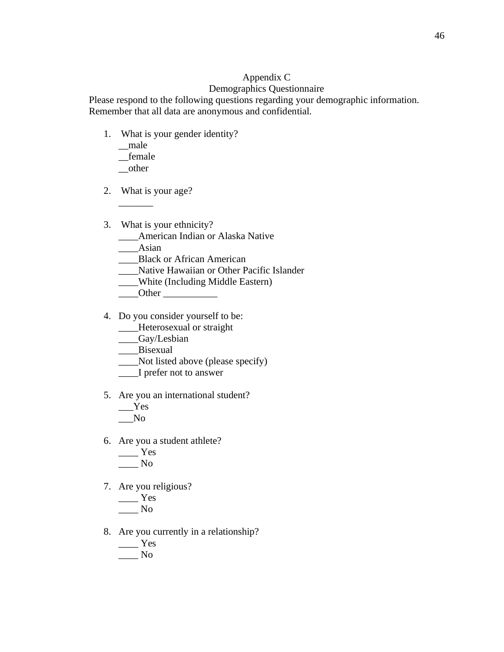## Appendix C

## Demographics Questionnaire

Please respond to the following questions regarding your demographic information. Remember that all data are anonymous and confidential.

- 1. What is your gender identity?
	- \_\_male \_\_female \_\_other

 $\overline{\phantom{a}}$ 

- 2. What is your age?
- 3. What is your ethnicity?
	- \_\_\_\_American Indian or Alaska Native
	- \_\_\_\_Asian
	- \_\_\_\_Black or African American
	- \_\_\_\_Native Hawaiian or Other Pacific Islander
	- \_\_\_\_White (Including Middle Eastern)
	- $\sqrt{O}$ ther  $\sqrt{O}$
- 4. Do you consider yourself to be:
	- \_\_\_\_Heterosexual or straight
	- \_\_\_\_Gay/Lesbian
	- \_\_\_\_Bisexual
	- \_\_\_\_Not listed above (please specify)
	- \_\_\_\_I prefer not to answer
- 5. Are you an international student?
	- \_\_\_Yes  $\sqrt{N}$
- 6. Are you a student athlete?

$$
\frac{\text{Yes}}{\text{No}}
$$

7. Are you religious?

$$
\frac{\text{Yes}}{\text{No}}
$$

- 8. Are you currently in a relationship?
	- \_\_\_\_ Yes \_\_\_\_ No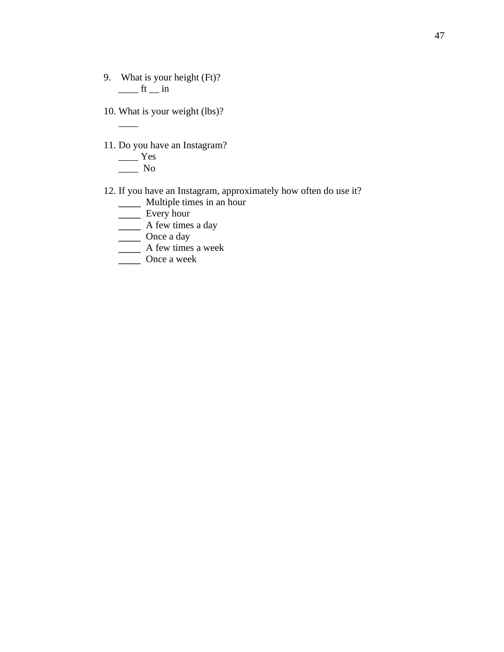- 9. What is your height (Ft)?  $\frac{1}{\sqrt{1-\ln n}}$
- 10. What is your weight (lbs)?
- 11. Do you have an Instagram?

$$
\frac{\text{Yes}}{\text{No}}
$$

 $\overline{\phantom{a}}$ 

- 12. If you have an Instagram, approximately how often do use it?
	- \_\_\_\_ Multiple times in an hour
	- \_\_\_\_ Every hour
	- \_\_\_\_ A few times a day
	- \_\_\_\_ Once a day
	- \_\_\_\_ A few times a week
	- \_\_\_\_ Once a week